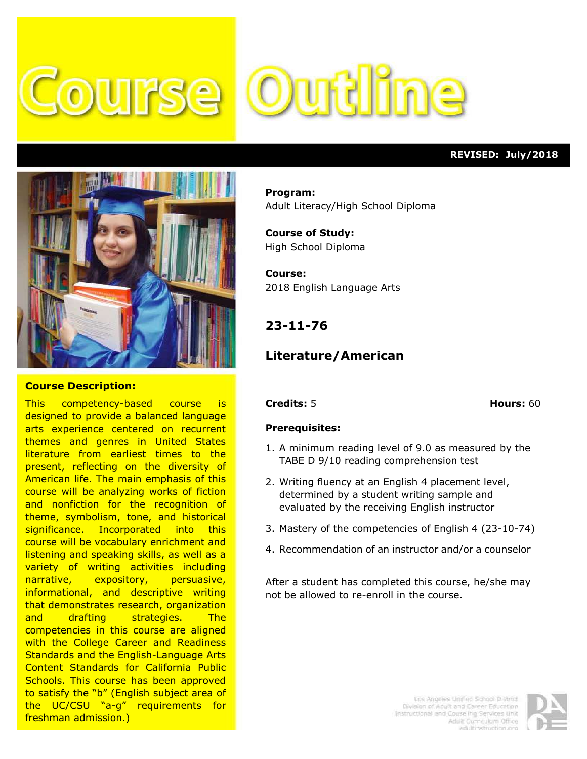# **Outline**

## **REVISED: July/2018**



#### **Course Description:**

This competency-based course is designed to provide a balanced language arts experience centered on recurrent themes and genres in United States literature from earliest times to the present, reflecting on the diversity of American life. The main emphasis of this course will be analyzing works of fiction and nonfiction for the recognition of theme, symbolism, tone, and historical significance. Incorporated into this course will be vocabulary enrichment and listening and speaking skills, as well as a variety of writing activities including narrative, expository, persuasive, informational, and descriptive writing that demonstrates research, organization and drafting strategies. The competencies in this course are aligned with the College Career and Readiness Standards and the English-Language Arts Content Standards for California Public Schools. This course has been approved to satisfy the "b" (English subject area of the UC/CSU "a-g" requirements for freshman admission.)

**Program:** Adult Literacy/High School Diploma

**Course of Study:** High School Diploma

**Course:** 2018 English Language Arts

**23-11-76**

## **Literature/American**

### **Credits:** 5 **Hours:** 60

### **Prerequisites:**

- 1. A minimum reading level of 9.0 as measured by the TABE D 9/10 reading comprehension test
- 2. Writing fluency at an English 4 placement level, determined by a student writing sample and evaluated by the receiving English instructor
- 3. Mastery of the competencies of English 4 (23-10-74)
- 4. Recommendation of an instructor and/or a counselor

After a student has completed this course, he/she may not be allowed to re-enroll in the course.

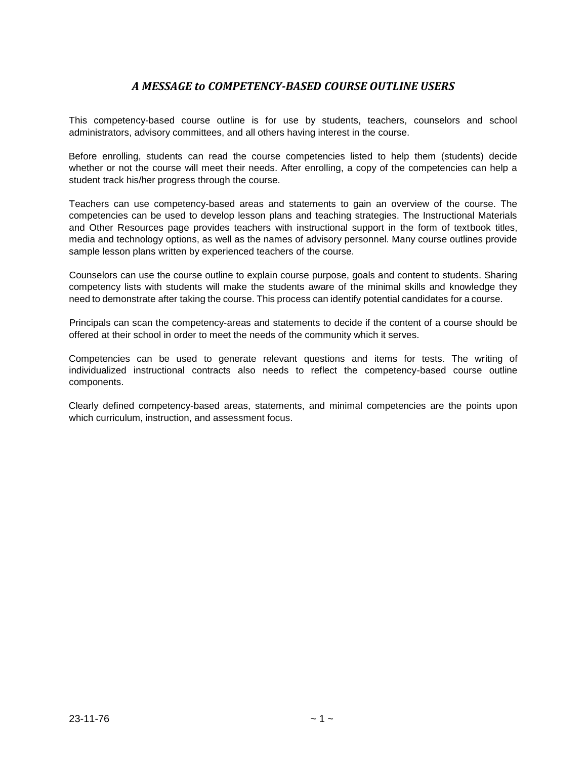## *A MESSAGE to COMPETENCY-BASED COURSE OUTLINE USERS*

This competency-based course outline is for use by students, teachers, counselors and school administrators, advisory committees, and all others having interest in the course.

Before enrolling, students can read the course competencies listed to help them (students) decide whether or not the course will meet their needs. After enrolling, a copy of the competencies can help a student track his/her progress through the course.

Teachers can use competency-based areas and statements to gain an overview of the course. The competencies can be used to develop lesson plans and teaching strategies. The Instructional Materials and Other Resources page provides teachers with instructional support in the form of textbook titles, media and technology options, as well as the names of advisory personnel. Many course outlines provide sample lesson plans written by experienced teachers of the course.

Counselors can use the course outline to explain course purpose, goals and content to students. Sharing competency lists with students will make the students aware of the minimal skills and knowledge they need to demonstrate after taking the course. This process can identify potential candidates for a course.

Principals can scan the competency-areas and statements to decide if the content of a course should be offered at their school in order to meet the needs of the community which it serves.

Competencies can be used to generate relevant questions and items for tests. The writing of individualized instructional contracts also needs to reflect the competency-based course outline components.

Clearly defined competency-based areas, statements, and minimal competencies are the points upon which curriculum, instruction, and assessment focus.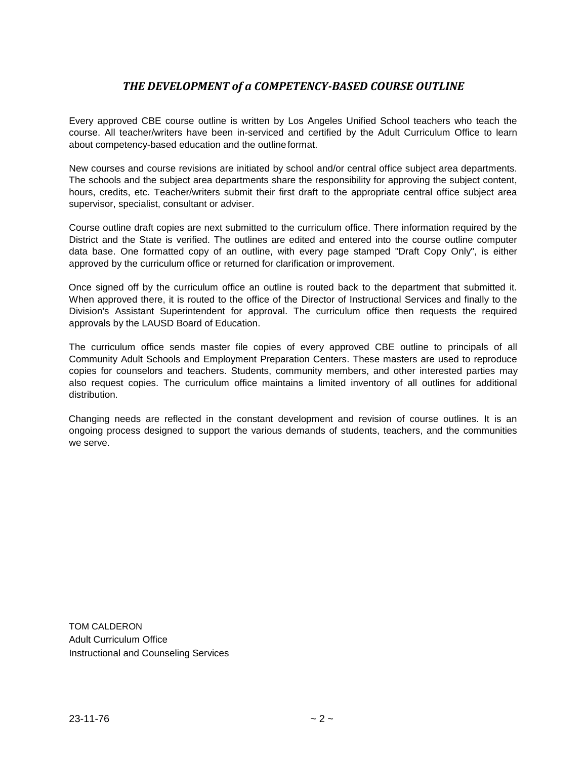## *THE DEVELOPMENT of a COMPETENCY-BASED COURSE OUTLINE*

Every approved CBE course outline is written by Los Angeles Unified School teachers who teach the course. All teacher/writers have been in-serviced and certified by the Adult Curriculum Office to learn about competency-based education and the outline format.

New courses and course revisions are initiated by school and/or central office subject area departments. The schools and the subject area departments share the responsibility for approving the subject content, hours, credits, etc. Teacher/writers submit their first draft to the appropriate central office subject area supervisor, specialist, consultant or adviser.

Course outline draft copies are next submitted to the curriculum office. There information required by the District and the State is verified. The outlines are edited and entered into the course outline computer data base. One formatted copy of an outline, with every page stamped "Draft Copy Only", is either approved by the curriculum office or returned for clarification or improvement.

Once signed off by the curriculum office an outline is routed back to the department that submitted it. When approved there, it is routed to the office of the Director of Instructional Services and finally to the Division's Assistant Superintendent for approval. The curriculum office then requests the required approvals by the LAUSD Board of Education.

The curriculum office sends master file copies of every approved CBE outline to principals of all Community Adult Schools and Employment Preparation Centers. These masters are used to reproduce copies for counselors and teachers. Students, community members, and other interested parties may also request copies. The curriculum office maintains a limited inventory of all outlines for additional distribution.

Changing needs are reflected in the constant development and revision of course outlines. It is an ongoing process designed to support the various demands of students, teachers, and the communities we serve.

TOM CALDERON Adult Curriculum Office Instructional and Counseling Services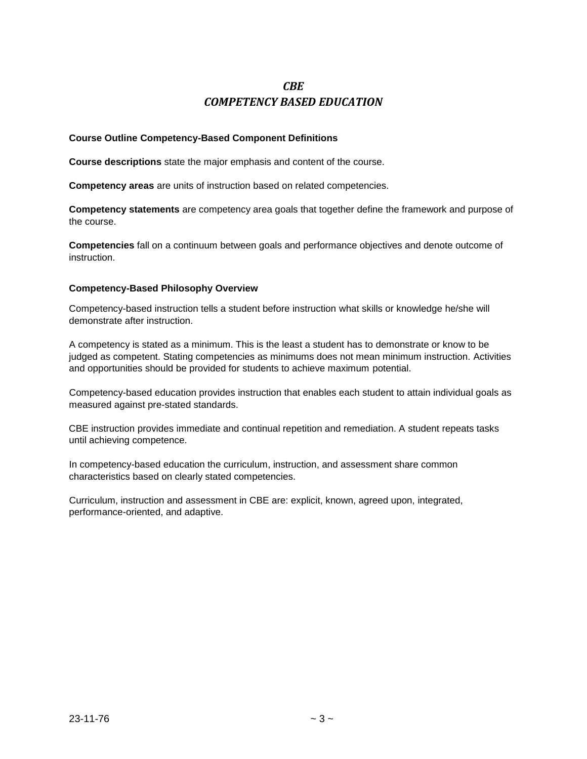## *CBE COMPETENCY BASED EDUCATION*

#### **Course Outline Competency-Based Component Definitions**

**Course descriptions** state the major emphasis and content of the course.

**Competency areas** are units of instruction based on related competencies.

**Competency statements** are competency area goals that together define the framework and purpose of the course.

**Competencies** fall on a continuum between goals and performance objectives and denote outcome of instruction.

#### **Competency-Based Philosophy Overview**

Competency-based instruction tells a student before instruction what skills or knowledge he/she will demonstrate after instruction.

A competency is stated as a minimum. This is the least a student has to demonstrate or know to be judged as competent. Stating competencies as minimums does not mean minimum instruction. Activities and opportunities should be provided for students to achieve maximum potential.

Competency-based education provides instruction that enables each student to attain individual goals as measured against pre-stated standards.

CBE instruction provides immediate and continual repetition and remediation. A student repeats tasks until achieving competence.

In competency-based education the curriculum, instruction, and assessment share common characteristics based on clearly stated competencies.

Curriculum, instruction and assessment in CBE are: explicit, known, agreed upon, integrated, performance-oriented, and adaptive.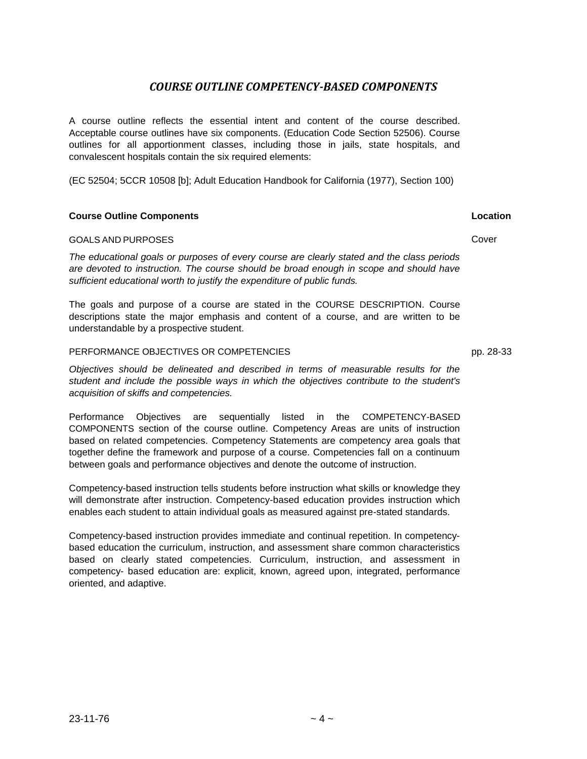## *COURSE OUTLINE COMPETENCY-BASED COMPONENTS*

A course outline reflects the essential intent and content of the course described. Acceptable course outlines have six components. (Education Code Section 52506). Course outlines for all apportionment classes, including those in jails, state hospitals, and convalescent hospitals contain the six required elements:

(EC 52504; 5CCR 10508 [b]; Adult Education Handbook for California (1977), Section 100)

#### **Course Outline Components**

#### GOALS AND PURPOSES

*The educational goals or purposes of every course are clearly stated and the class periods are devoted to instruction. The course should be broad enough in scope and should have sufficient educational worth to justify the expenditure of public funds.*

The goals and purpose of a course are stated in the COURSE DESCRIPTION. Course descriptions state the major emphasis and content of a course, and are written to be understandable by a prospective student.

#### PERFORMANCE OBJECTIVES OR COMPETENCIES

*Objectives should be delineated and described in terms of measurable results for the student and include the possible ways in which the objectives contribute to the student's acquisition of skiffs and competencies.*

Performance Objectives are sequentially listed in the COMPETENCY-BASED COMPONENTS section of the course outline. Competency Areas are units of instruction based on related competencies. Competency Statements are competency area goals that together define the framework and purpose of a course. Competencies fall on a continuum between goals and performance objectives and denote the outcome of instruction.

Competency-based instruction tells students before instruction what skills or knowledge they will demonstrate after instruction. Competency-based education provides instruction which enables each student to attain individual goals as measured against pre-stated standards.

Competency-based instruction provides immediate and continual repetition. In competencybased education the curriculum, instruction, and assessment share common characteristics based on clearly stated competencies. Curriculum, instruction, and assessment in competency- based education are: explicit, known, agreed upon, integrated, performance oriented, and adaptive.

pp. 28-33

**Location**

Cover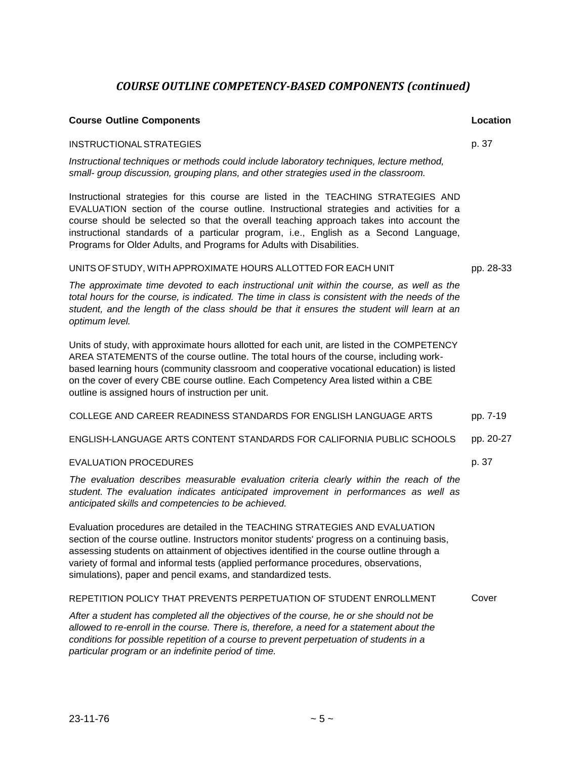## *COURSE OUTLINE COMPETENCY-BASED COMPONENTS (continued)*

#### **Course Outline Components**

#### INSTRUCTIONALSTRATEGIES

*Instructional techniques or methods could include laboratory techniques, lecture method, small- group discussion, grouping plans, and other strategies used in the classroom.*

Instructional strategies for this course are listed in the TEACHING STRATEGIES AND EVALUATION section of the course outline. Instructional strategies and activities for a course should be selected so that the overall teaching approach takes into account the instructional standards of a particular program, i.e., English as a Second Language, Programs for Older Adults, and Programs for Adults with Disabilities.

#### UNITS OFSTUDY, WITH APPROXIMATE HOURS ALLOTTED FOR EACH UNIT

*The approximate time devoted to each instructional unit within the course, as well as the total hours for the course, is indicated. The time in class is consistent with the needs of the student, and the length of the class should be that it ensures the student will learn at an optimum level.*

Units of study, with approximate hours allotted for each unit, are listed in the COMPETENCY AREA STATEMENTS of the course outline. The total hours of the course, including workbased learning hours (community classroom and cooperative vocational education) is listed on the cover of every CBE course outline. Each Competency Area listed within a CBE outline is assigned hours of instruction per unit.

#### COLLEGE AND CAREER READINESS STANDARDS FOR ENGLISH LANGUAGE ARTS pp. 7-19

ENGLISH-LANGUAGE ARTS CONTENT STANDARDS FOR CALIFORNIA PUBLIC SCHOOLS pp. 20-27

#### EVALUATION PROCEDURES

*The evaluation describes measurable evaluation criteria clearly within the reach of the student. The evaluation indicates anticipated improvement in performances as well as anticipated skills and competencies to be achieved.*

Evaluation procedures are detailed in the TEACHING STRATEGIES AND EVALUATION section of the course outline. Instructors monitor students' progress on a continuing basis, assessing students on attainment of objectives identified in the course outline through a variety of formal and informal tests (applied performance procedures, observations, simulations), paper and pencil exams, and standardized tests.

#### REPETITION POLICY THAT PREVENTS PERPETUATION OF STUDENT ENROLLMENT Cover

*After a student has completed all the objectives of the course, he or she should not be allowed to re-enroll in the course. There is, therefore, a need for a statement about the conditions for possible repetition of a course to prevent perpetuation of students in a particular program or an indefinite period of time.*

**Location**

pp. 28-33

p. 37

p. 37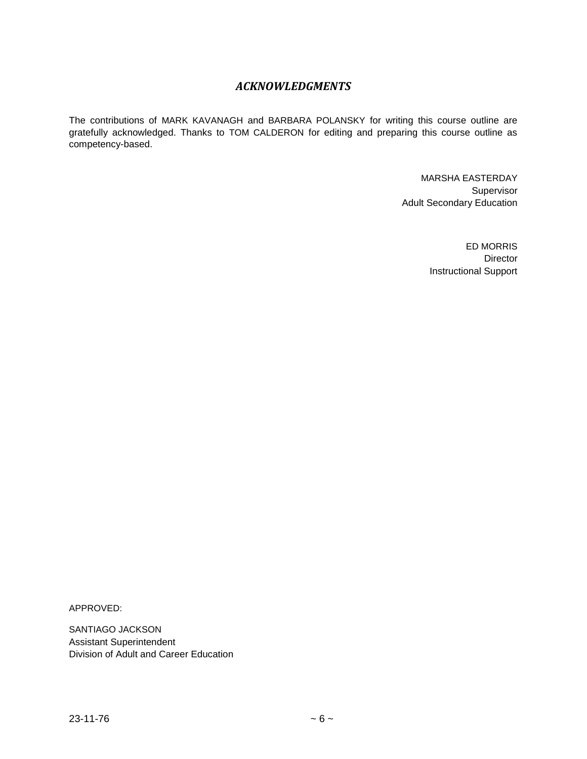## *ACKNOWLEDGMENTS*

The contributions of MARK KAVANAGH and BARBARA POLANSKY for writing this course outline are gratefully acknowledged. Thanks to TOM CALDERON for editing and preparing this course outline as competency-based.

> MARSHA EASTERDAY Supervisor Adult Secondary Education

> > ED MORRIS Director Instructional Support

APPROVED:

SANTIAGO JACKSON Assistant Superintendent Division of Adult and Career Education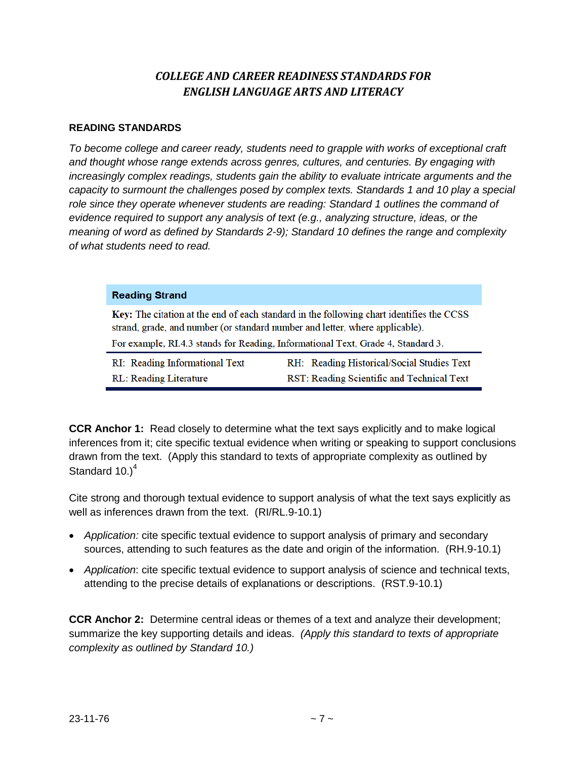#### **READING STANDARDS**

*To become college and career ready, students need to grapple with works of exceptional craft and thought whose range extends across genres, cultures, and centuries. By engaging with increasingly complex readings, students gain the ability to evaluate intricate arguments and the capacity to surmount the challenges posed by complex texts. Standards 1 and 10 play a special role since they operate whenever students are reading: Standard 1 outlines the command of evidence required to support any analysis of text (e.g., analyzing structure, ideas, or the meaning of word as defined by Standards 2-9); Standard 10 defines the range and complexity of what students need to read.* 

#### **Reading Strand**

Key: The citation at the end of each standard in the following chart identifies the CCSS strand, grade, and number (or standard number and letter, where applicable).

For example, RI.4.3 stands for Reading, Informational Text, Grade 4, Standard 3.

| RI: Reading Informational Text | RH: Reading Historical/Social Studies Text |
|--------------------------------|--------------------------------------------|
| <b>RL:</b> Reading Literature  | RST: Reading Scientific and Technical Text |

**CCR Anchor 1:** Read closely to determine what the text says explicitly and to make logical inferences from it; cite specific textual evidence when writing or speaking to support conclusions drawn from the text. (Apply this standard to texts of appropriate complexity as outlined by Standard  $10.1<sup>4</sup>$ 

Cite strong and thorough textual evidence to support analysis of what the text says explicitly as well as inferences drawn from the text. (RI/RL.9-10.1)

- *Application:* cite specific textual evidence to support analysis of primary and secondary sources, attending to such features as the date and origin of the information. (RH.9-10.1)
- *Application*: cite specific textual evidence to support analysis of science and technical texts, attending to the precise details of explanations or descriptions. (RST.9-10.1)

**CCR Anchor 2:** Determine central ideas or themes of a text and analyze their development; summarize the key supporting details and ideas. *(Apply this standard to texts of appropriate complexity as outlined by Standard 10.)*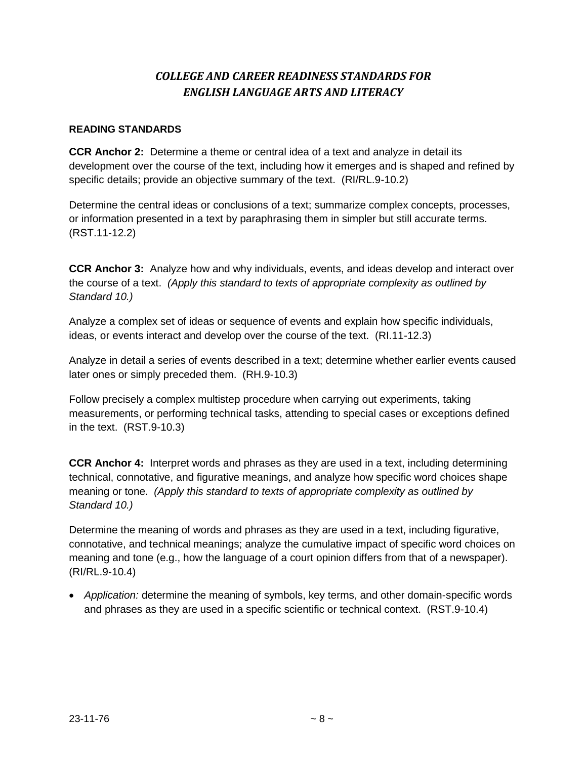## **READING STANDARDS**

**CCR Anchor 2:** Determine a theme or central idea of a text and analyze in detail its development over the course of the text, including how it emerges and is shaped and refined by specific details; provide an objective summary of the text. (RI/RL.9-10.2)

Determine the central ideas or conclusions of a text; summarize complex concepts, processes, or information presented in a text by paraphrasing them in simpler but still accurate terms. (RST.11-12.2)

**CCR Anchor 3:** Analyze how and why individuals, events, and ideas develop and interact over the course of a text. *(Apply this standard to texts of appropriate complexity as outlined by Standard 10.)*

Analyze a complex set of ideas or sequence of events and explain how specific individuals, ideas, or events interact and develop over the course of the text. (RI.11-12.3)

Analyze in detail a series of events described in a text; determine whether earlier events caused later ones or simply preceded them. (RH.9-10.3)

Follow precisely a complex multistep procedure when carrying out experiments, taking measurements, or performing technical tasks, attending to special cases or exceptions defined in the text. (RST.9-10.3)

**CCR Anchor 4:** Interpret words and phrases as they are used in a text, including determining technical, connotative, and figurative meanings, and analyze how specific word choices shape meaning or tone. *(Apply this standard to texts of appropriate complexity as outlined by Standard 10.)*

Determine the meaning of words and phrases as they are used in a text, including figurative, connotative, and technical meanings; analyze the cumulative impact of specific word choices on meaning and tone (e.g., how the language of a court opinion differs from that of a newspaper). (RI/RL.9-10.4)

 *Application:* determine the meaning of symbols, key terms, and other domain-specific words and phrases as they are used in a specific scientific or technical context. (RST.9-10.4)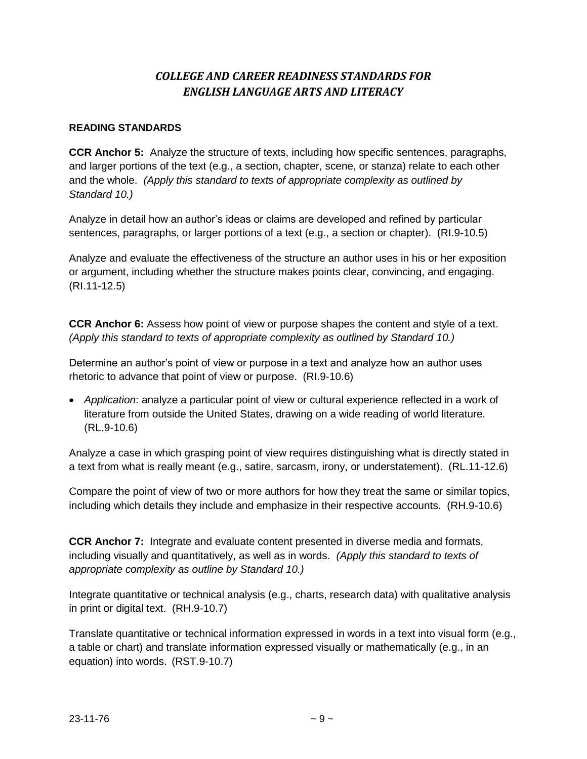#### **READING STANDARDS**

**CCR Anchor 5:** Analyze the structure of texts, including how specific sentences, paragraphs, and larger portions of the text (e.g., a section, chapter, scene, or stanza) relate to each other and the whole. *(Apply this standard to texts of appropriate complexity as outlined by Standard 10.)*

Analyze in detail how an author's ideas or claims are developed and refined by particular sentences, paragraphs, or larger portions of a text (e.g., a section or chapter). (RI.9-10.5)

Analyze and evaluate the effectiveness of the structure an author uses in his or her exposition or argument, including whether the structure makes points clear, convincing, and engaging. (RI.11-12.5)

**CCR Anchor 6:** Assess how point of view or purpose shapes the content and style of a text. *(Apply this standard to texts of appropriate complexity as outlined by Standard 10.)*

Determine an author's point of view or purpose in a text and analyze how an author uses rhetoric to advance that point of view or purpose. (RI.9-10.6)

 *Application*: analyze a particular point of view or cultural experience reflected in a work of literature from outside the United States, drawing on a wide reading of world literature. (RL.9-10.6)

Analyze a case in which grasping point of view requires distinguishing what is directly stated in a text from what is really meant (e.g., satire, sarcasm, irony, or understatement). (RL.11-12.6)

Compare the point of view of two or more authors for how they treat the same or similar topics, including which details they include and emphasize in their respective accounts. (RH.9-10.6)

**CCR Anchor 7:** Integrate and evaluate content presented in diverse media and formats, including visually and quantitatively, as well as in words. *(Apply this standard to texts of appropriate complexity as outline by Standard 10.)*

Integrate quantitative or technical analysis (e.g., charts, research data) with qualitative analysis in print or digital text. (RH.9-10.7)

Translate quantitative or technical information expressed in words in a text into visual form (e.g., a table or chart) and translate information expressed visually or mathematically (e.g., in an equation) into words. (RST.9-10.7)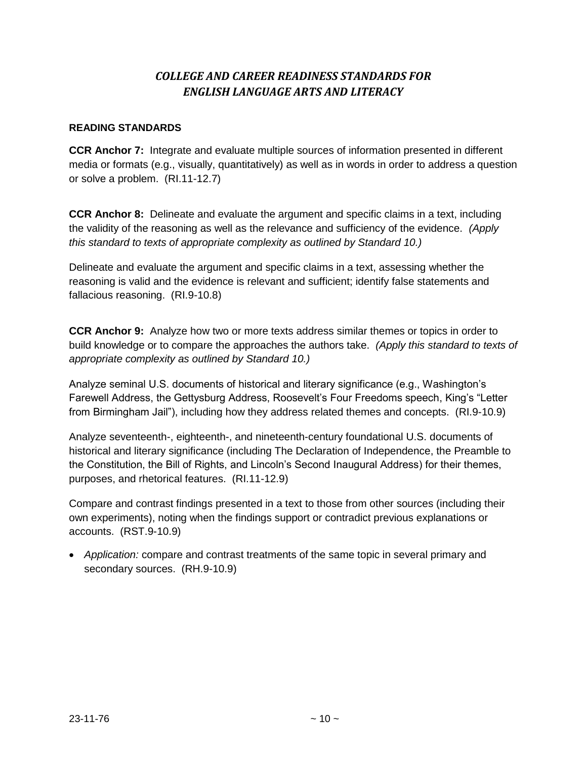#### **READING STANDARDS**

**CCR Anchor 7:** Integrate and evaluate multiple sources of information presented in different media or formats (e.g., visually, quantitatively) as well as in words in order to address a question or solve a problem. (RI.11-12.7)

**CCR Anchor 8:** Delineate and evaluate the argument and specific claims in a text, including the validity of the reasoning as well as the relevance and sufficiency of the evidence. *(Apply this standard to texts of appropriate complexity as outlined by Standard 10.)*

Delineate and evaluate the argument and specific claims in a text, assessing whether the reasoning is valid and the evidence is relevant and sufficient; identify false statements and fallacious reasoning. (RI.9-10.8)

**CCR Anchor 9:** Analyze how two or more texts address similar themes or topics in order to build knowledge or to compare the approaches the authors take. *(Apply this standard to texts of appropriate complexity as outlined by Standard 10.)*

Analyze seminal U.S. documents of historical and literary significance (e.g., Washington's Farewell Address, the Gettysburg Address, Roosevelt's Four Freedoms speech, King's "Letter from Birmingham Jail"), including how they address related themes and concepts. (RI.9-10.9)

Analyze seventeenth-, eighteenth-, and nineteenth-century foundational U.S. documents of historical and literary significance (including The Declaration of Independence, the Preamble to the Constitution, the Bill of Rights, and Lincoln's Second Inaugural Address) for their themes, purposes, and rhetorical features. (RI.11-12.9)

Compare and contrast findings presented in a text to those from other sources (including their own experiments), noting when the findings support or contradict previous explanations or accounts. (RST.9-10.9)

 *Application:* compare and contrast treatments of the same topic in several primary and secondary sources. (RH.9-10.9)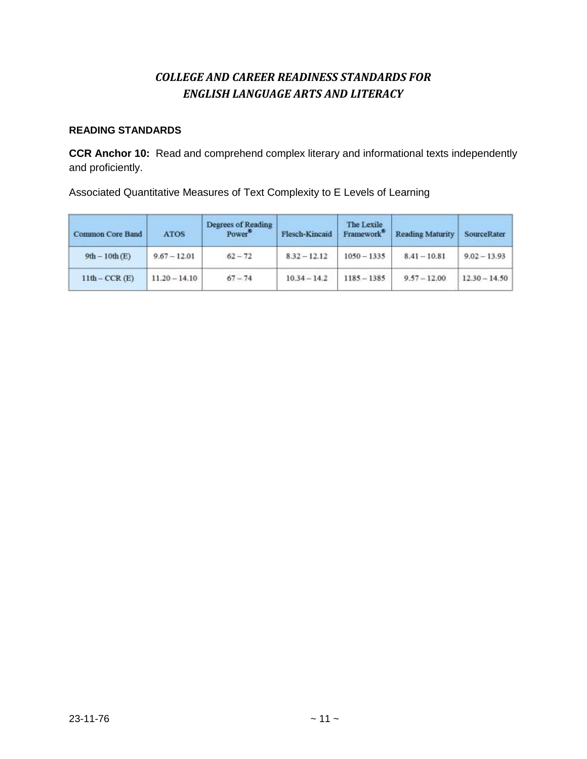### **READING STANDARDS**

**CCR Anchor 10:** Read and comprehend complex literary and informational texts independently and proficiently.

Associated Quantitative Measures of Text Complexity to E Levels of Learning

| <b>Common Core Band</b> | <b>ATOS</b>     | Degrees of Reading<br>Power | Flesch-Kincaid | The Lexile<br>Framework <sup>*</sup> | <b>Reading Maturity</b> | SourceRater     |
|-------------------------|-----------------|-----------------------------|----------------|--------------------------------------|-------------------------|-----------------|
| $9th - 10th(E)$         | $9.67 - 12.01$  | $62 - 72$                   | $8.32 - 12.12$ | $1050 - 1335$                        | $8.41 - 10.81$          | $9.02 - 13.93$  |
| $11th$ – CCR $(E)$      | $11.20 - 14.10$ | $67 - 74$                   | $10.34 - 14.2$ | $1185 - 1385$                        | $9.57 - 12.00$          | $12.30 - 14.50$ |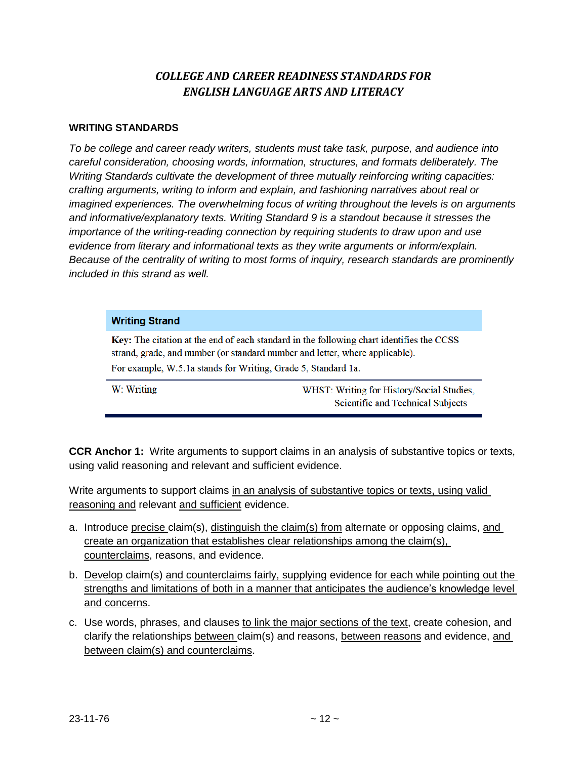#### **WRITING STANDARDS**

*To be college and career ready writers, students must take task, purpose, and audience into careful consideration, choosing words, information, structures, and formats deliberately. The Writing Standards cultivate the development of three mutually reinforcing writing capacities: crafting arguments, writing to inform and explain, and fashioning narratives about real or imagined experiences. The overwhelming focus of writing throughout the levels is on arguments and informative/explanatory texts. Writing Standard 9 is a standout because it stresses the importance of the writing-reading connection by requiring students to draw upon and use evidence from literary and informational texts as they write arguments or inform/explain. Because of the centrality of writing to most forms of inquiry, research standards are prominently included in this strand as well.*

#### **Writing Strand**

Key: The citation at the end of each standard in the following chart identifies the CCSS strand, grade, and number (or standard number and letter, where applicable).

For example, W.5.1a stands for Writing, Grade 5, Standard 1a.

W: Writing

WHST: Writing for History/Social Studies, Scientific and Technical Subjects

**CCR Anchor 1:** Write arguments to support claims in an analysis of substantive topics or texts, using valid reasoning and relevant and sufficient evidence.

Write arguments to support claims in an analysis of substantive topics or texts, using valid reasoning and relevant and sufficient evidence.

- a. Introduce precise claim(s), distinguish the claim(s) from alternate or opposing claims, and create an organization that establishes clear relationships among the claim(s), counterclaims, reasons, and evidence.
- b. Develop claim(s) and counterclaims fairly, supplying evidence for each while pointing out the strengths and limitations of both in a manner that anticipates the audience's knowledge level and concerns.
- c. Use words, phrases, and clauses to link the major sections of the text, create cohesion, and clarify the relationships between claim(s) and reasons, between reasons and evidence, and between claim(s) and counterclaims.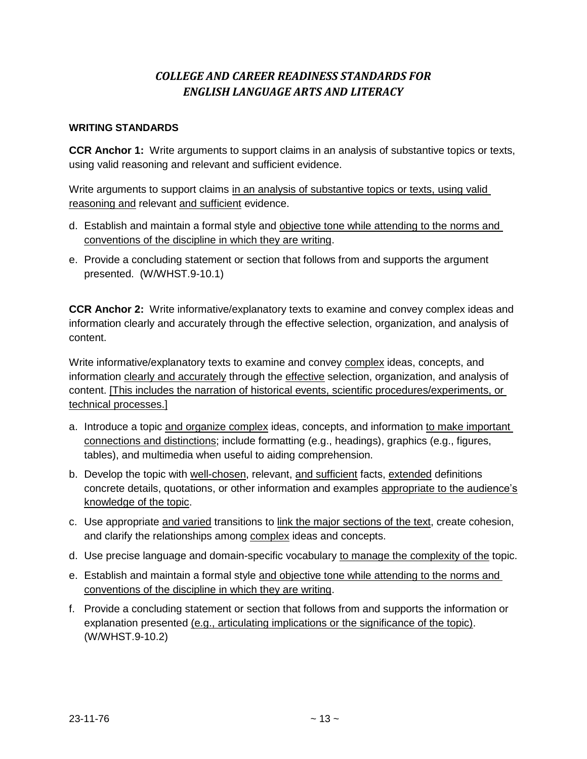#### **WRITING STANDARDS**

**CCR Anchor 1:** Write arguments to support claims in an analysis of substantive topics or texts, using valid reasoning and relevant and sufficient evidence.

Write arguments to support claims in an analysis of substantive topics or texts, using valid reasoning and relevant and sufficient evidence.

- d. Establish and maintain a formal style and objective tone while attending to the norms and conventions of the discipline in which they are writing.
- e. Provide a concluding statement or section that follows from and supports the argument presented. (W/WHST.9-10.1)

**CCR Anchor 2:** Write informative/explanatory texts to examine and convey complex ideas and information clearly and accurately through the effective selection, organization, and analysis of content.

Write informative/explanatory texts to examine and convey complex ideas, concepts, and information clearly and accurately through the effective selection, organization, and analysis of content. [This includes the narration of historical events, scientific procedures/experiments, or technical processes.]

- a. Introduce a topic and organize complex ideas, concepts, and information to make important connections and distinctions; include formatting (e.g., headings), graphics (e.g., figures, tables), and multimedia when useful to aiding comprehension.
- b. Develop the topic with well-chosen, relevant, and sufficient facts, extended definitions concrete details, quotations, or other information and examples appropriate to the audience's knowledge of the topic.
- c. Use appropriate and varied transitions to link the major sections of the text, create cohesion, and clarify the relationships among complex ideas and concepts.
- d. Use precise language and domain-specific vocabulary to manage the complexity of the topic.
- e. Establish and maintain a formal style and objective tone while attending to the norms and conventions of the discipline in which they are writing.
- f. Provide a concluding statement or section that follows from and supports the information or explanation presented (e.g., articulating implications or the significance of the topic). (W/WHST.9-10.2)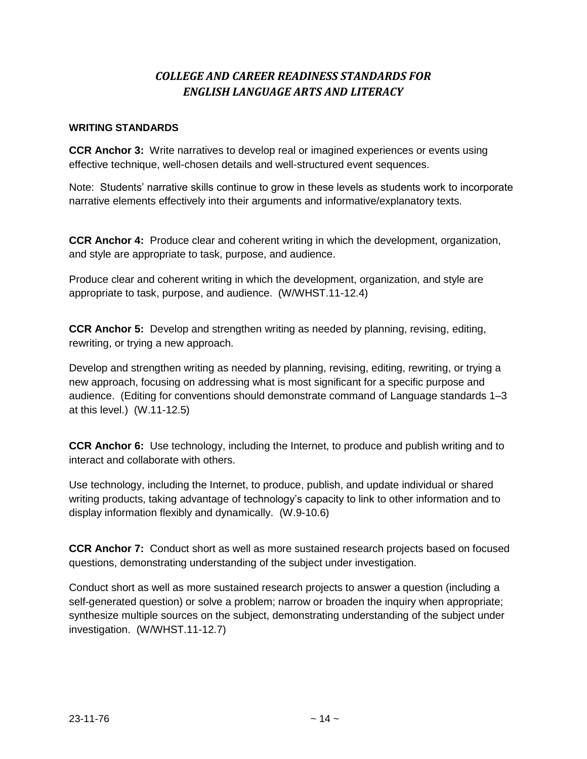#### **WRITING STANDARDS**

**CCR Anchor 3:** Write narratives to develop real or imagined experiences or events using effective technique, well-chosen details and well-structured event sequences.

Note: Students' narrative skills continue to grow in these levels as students work to incorporate narrative elements effectively into their arguments and informative/explanatory texts.

**CCR Anchor 4:** Produce clear and coherent writing in which the development, organization, and style are appropriate to task, purpose, and audience.

Produce clear and coherent writing in which the development, organization, and style are appropriate to task, purpose, and audience. (W/WHST.11-12.4)

**CCR Anchor 5:** Develop and strengthen writing as needed by planning, revising, editing, rewriting, or trying a new approach.

Develop and strengthen writing as needed by planning, revising, editing, rewriting, or trying a new approach, focusing on addressing what is most significant for a specific purpose and audience. (Editing for conventions should demonstrate command of Language standards 1–3 at this level.) (W.11-12.5)

**CCR Anchor 6:** Use technology, including the Internet, to produce and publish writing and to interact and collaborate with others.

Use technology, including the Internet, to produce, publish, and update individual or shared writing products, taking advantage of technology's capacity to link to other information and to display information flexibly and dynamically. (W.9-10.6)

**CCR Anchor 7:** Conduct short as well as more sustained research projects based on focused questions, demonstrating understanding of the subject under investigation.

Conduct short as well as more sustained research projects to answer a question (including a self-generated question) or solve a problem; narrow or broaden the inquiry when appropriate; synthesize multiple sources on the subject, demonstrating understanding of the subject under investigation. (W/WHST.11-12.7)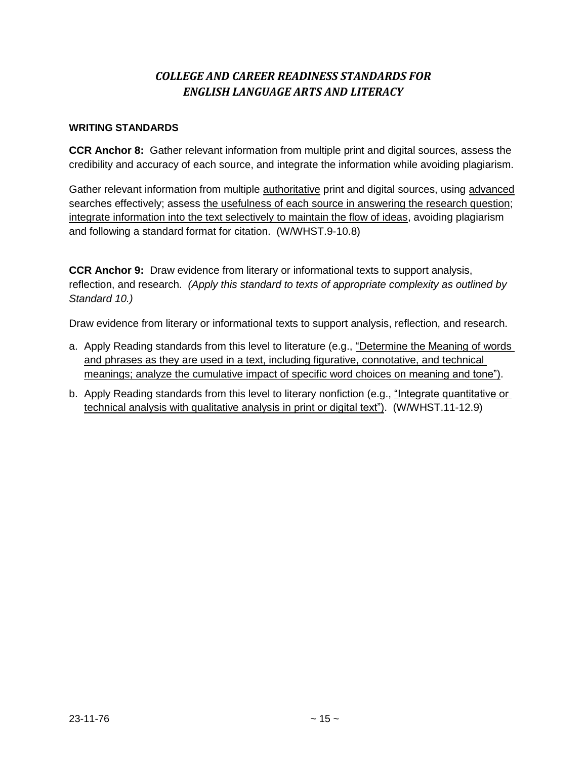#### **WRITING STANDARDS**

**CCR Anchor 8:** Gather relevant information from multiple print and digital sources, assess the credibility and accuracy of each source, and integrate the information while avoiding plagiarism.

Gather relevant information from multiple authoritative print and digital sources, using advanced searches effectively; assess the usefulness of each source in answering the research question; integrate information into the text selectively to maintain the flow of ideas, avoiding plagiarism and following a standard format for citation. (W/WHST.9-10.8)

**CCR Anchor 9:** Draw evidence from literary or informational texts to support analysis, reflection, and research. *(Apply this standard to texts of appropriate complexity as outlined by Standard 10.)* 

Draw evidence from literary or informational texts to support analysis, reflection, and research.

- a. Apply Reading standards from this level to literature (e.g., "Determine the Meaning of words and phrases as they are used in a text, including figurative, connotative, and technical meanings; analyze the cumulative impact of specific word choices on meaning and tone").
- b. Apply Reading standards from this level to literary nonfiction (e.g., "Integrate quantitative or technical analysis with qualitative analysis in print or digital text"). (W/WHST.11-12.9)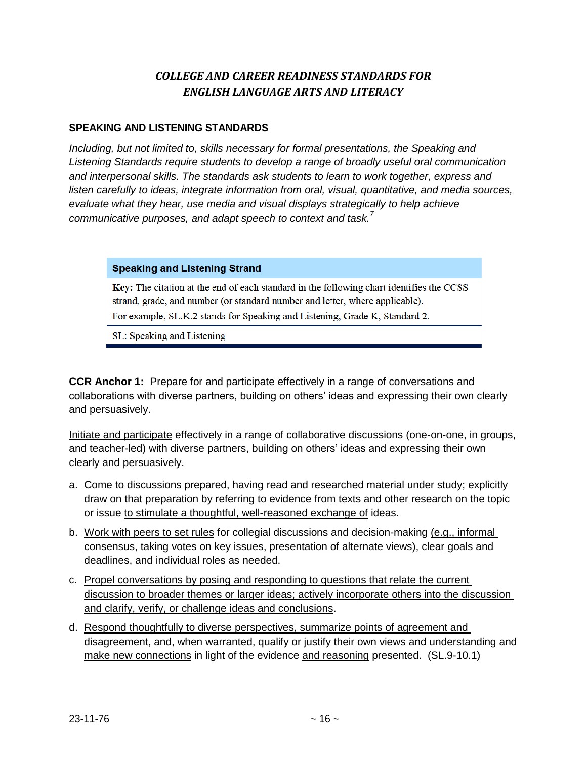#### **SPEAKING AND LISTENING STANDARDS**

*Including, but not limited to, skills necessary for formal presentations, the Speaking and Listening Standards require students to develop a range of broadly useful oral communication and interpersonal skills. The standards ask students to learn to work together, express and listen carefully to ideas, integrate information from oral, visual, quantitative, and media sources, evaluate what they hear, use media and visual displays strategically to help achieve communicative purposes, and adapt speech to context and task.<sup>7</sup>*

#### **Speaking and Listening Strand**

Key: The citation at the end of each standard in the following chart identifies the CCSS strand, grade, and number (or standard number and letter, where applicable).

For example, SL.K.2 stands for Speaking and Listening, Grade K, Standard 2.

SL: Speaking and Listening

**CCR Anchor 1:** Prepare for and participate effectively in a range of conversations and collaborations with diverse partners, building on others' ideas and expressing their own clearly and persuasively.

Initiate and participate effectively in a range of collaborative discussions (one-on-one, in groups, and teacher-led) with diverse partners, building on others' ideas and expressing their own clearly and persuasively.

- a. Come to discussions prepared, having read and researched material under study; explicitly draw on that preparation by referring to evidence from texts and other research on the topic or issue to stimulate a thoughtful, well-reasoned exchange of ideas.
- b. Work with peers to set rules for collegial discussions and decision-making (e.g., informal consensus, taking votes on key issues, presentation of alternate views), clear goals and deadlines, and individual roles as needed.
- c. Propel conversations by posing and responding to questions that relate the current discussion to broader themes or larger ideas; actively incorporate others into the discussion and clarify, verify, or challenge ideas and conclusions.
- d. Respond thoughtfully to diverse perspectives, summarize points of agreement and disagreement, and, when warranted, qualify or justify their own views and understanding and make new connections in light of the evidence and reasoning presented. (SL.9-10.1)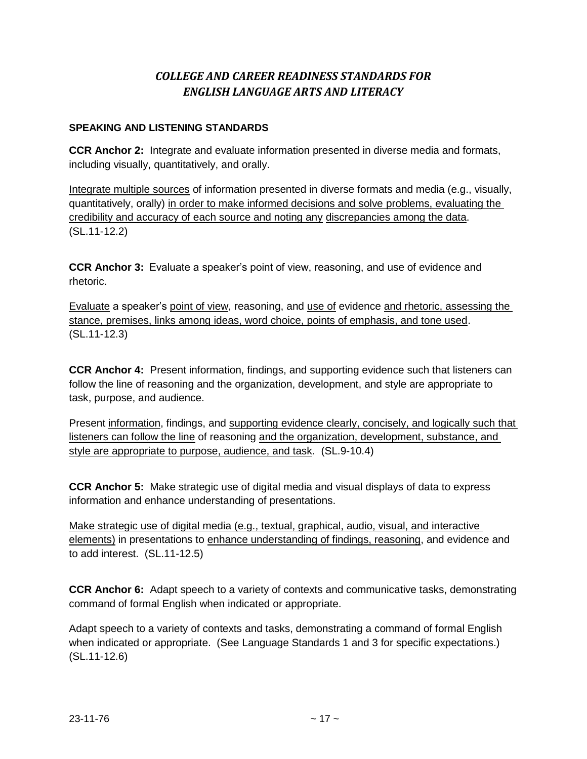#### **SPEAKING AND LISTENING STANDARDS**

**CCR Anchor 2:** Integrate and evaluate information presented in diverse media and formats, including visually, quantitatively, and orally.

Integrate multiple sources of information presented in diverse formats and media (e.g., visually, quantitatively, orally) in order to make informed decisions and solve problems, evaluating the credibility and accuracy of each source and noting any discrepancies among the data. (SL.11-12.2)

**CCR Anchor 3:** Evaluate a speaker's point of view, reasoning, and use of evidence and rhetoric.

Evaluate a speaker's point of view, reasoning, and use of evidence and rhetoric, assessing the stance, premises, links among ideas, word choice, points of emphasis, and tone used. (SL.11-12.3)

**CCR Anchor 4:** Present information, findings, and supporting evidence such that listeners can follow the line of reasoning and the organization, development, and style are appropriate to task, purpose, and audience.

Present information, findings, and supporting evidence clearly, concisely, and logically such that listeners can follow the line of reasoning and the organization, development, substance, and style are appropriate to purpose, audience, and task. (SL.9-10.4)

**CCR Anchor 5:** Make strategic use of digital media and visual displays of data to express information and enhance understanding of presentations.

Make strategic use of digital media (e.g., textual, graphical, audio, visual, and interactive elements) in presentations to enhance understanding of findings, reasoning, and evidence and to add interest. (SL.11-12.5)

**CCR Anchor 6:** Adapt speech to a variety of contexts and communicative tasks, demonstrating command of formal English when indicated or appropriate.

Adapt speech to a variety of contexts and tasks, demonstrating a command of formal English when indicated or appropriate. (See Language Standards 1 and 3 for specific expectations.) (SL.11-12.6)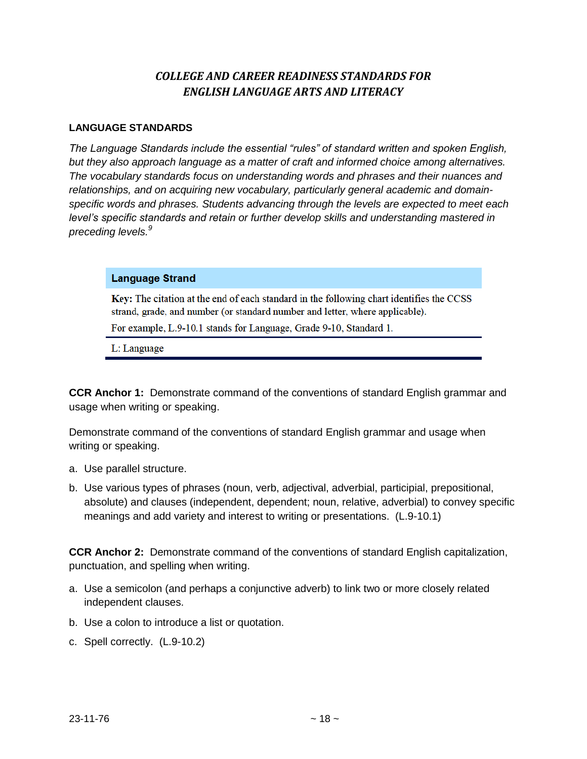#### **LANGUAGE STANDARDS**

*The Language Standards include the essential "rules" of standard written and spoken English, but they also approach language as a matter of craft and informed choice among alternatives. The vocabulary standards focus on understanding words and phrases and their nuances and relationships, and on acquiring new vocabulary, particularly general academic and domainspecific words and phrases. Students advancing through the levels are expected to meet each level's specific standards and retain or further develop skills and understanding mastered in preceding levels.<sup>9</sup>*

#### **Language Strand**

Key: The citation at the end of each standard in the following chart identifies the CCSS strand, grade, and number (or standard number and letter, where applicable).

For example, L.9-10.1 stands for Language, Grade 9-10, Standard 1.

L: Language

**CCR Anchor 1:** Demonstrate command of the conventions of standard English grammar and usage when writing or speaking.

Demonstrate command of the conventions of standard English grammar and usage when writing or speaking.

- a. Use parallel structure.
- b. Use various types of phrases (noun, verb, adjectival, adverbial, participial, prepositional, absolute) and clauses (independent, dependent; noun, relative, adverbial) to convey specific meanings and add variety and interest to writing or presentations. (L.9-10.1)

**CCR Anchor 2:** Demonstrate command of the conventions of standard English capitalization, punctuation, and spelling when writing.

- a. Use a semicolon (and perhaps a conjunctive adverb) to link two or more closely related independent clauses.
- b. Use a colon to introduce a list or quotation.
- c. Spell correctly. (L.9-10.2)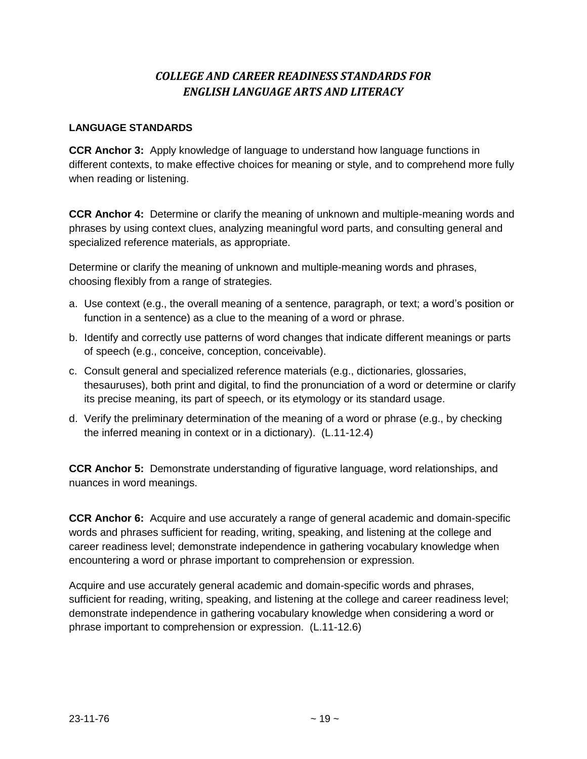#### **LANGUAGE STANDARDS**

**CCR Anchor 3:** Apply knowledge of language to understand how language functions in different contexts, to make effective choices for meaning or style, and to comprehend more fully when reading or listening.

**CCR Anchor 4:** Determine or clarify the meaning of unknown and multiple-meaning words and phrases by using context clues, analyzing meaningful word parts, and consulting general and specialized reference materials, as appropriate.

Determine or clarify the meaning of unknown and multiple-meaning words and phrases, choosing flexibly from a range of strategies.

- a. Use context (e.g., the overall meaning of a sentence, paragraph, or text; a word's position or function in a sentence) as a clue to the meaning of a word or phrase.
- b. Identify and correctly use patterns of word changes that indicate different meanings or parts of speech (e.g., conceive, conception, conceivable).
- c. Consult general and specialized reference materials (e.g., dictionaries, glossaries, thesauruses), both print and digital, to find the pronunciation of a word or determine or clarify its precise meaning, its part of speech, or its etymology or its standard usage.
- d. Verify the preliminary determination of the meaning of a word or phrase (e.g., by checking the inferred meaning in context or in a dictionary). (L.11-12.4)

**CCR Anchor 5:** Demonstrate understanding of figurative language, word relationships, and nuances in word meanings.

**CCR Anchor 6:** Acquire and use accurately a range of general academic and domain-specific words and phrases sufficient for reading, writing, speaking, and listening at the college and career readiness level; demonstrate independence in gathering vocabulary knowledge when encountering a word or phrase important to comprehension or expression.

Acquire and use accurately general academic and domain-specific words and phrases, sufficient for reading, writing, speaking, and listening at the college and career readiness level; demonstrate independence in gathering vocabulary knowledge when considering a word or phrase important to comprehension or expression. (L.11-12.6)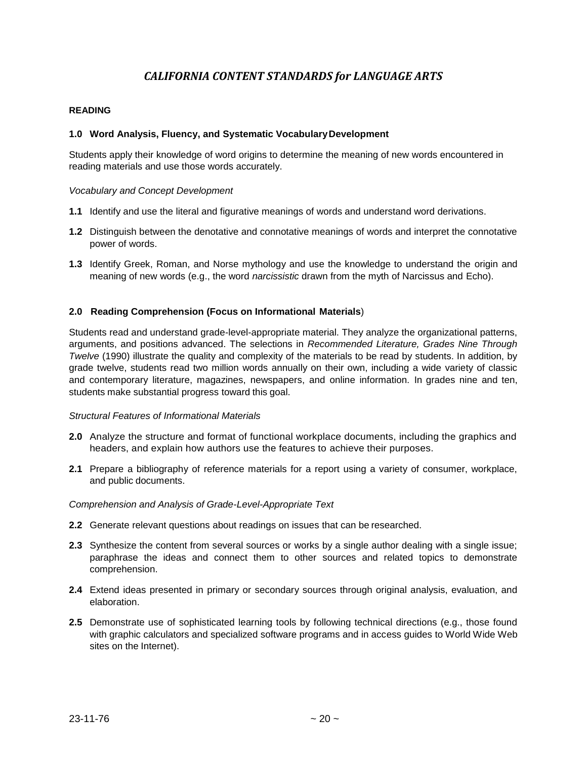## *CALIFORNIA CONTENT STANDARDS for LANGUAGE ARTS*

#### **READING**

#### **1.0 Word Analysis, Fluency, and Systematic VocabularyDevelopment**

Students apply their knowledge of word origins to determine the meaning of new words encountered in reading materials and use those words accurately.

#### *Vocabulary and Concept Development*

- **1.1** Identify and use the literal and figurative meanings of words and understand word derivations.
- **1.2** Distinguish between the denotative and connotative meanings of words and interpret the connotative power of words.
- **1.3** Identify Greek, Roman, and Norse mythology and use the knowledge to understand the origin and meaning of new words (e.g., the word *narcissistic* drawn from the myth of Narcissus and Echo).

#### **2.0 Reading Comprehension (Focus on Informational Materials**)

Students read and understand grade-level-appropriate material. They analyze the organizational patterns, arguments, and positions advanced. The selections in *Recommended Literature, Grades Nine Through Twelve* (1990) illustrate the quality and complexity of the materials to be read by students. In addition, by grade twelve, students read two million words annually on their own, including a wide variety of classic and contemporary literature, magazines, newspapers, and online information. In grades nine and ten, students make substantial progress toward this goal.

#### *Structural Features of Informational Materials*

- **2.0** Analyze the structure and format of functional workplace documents, including the graphics and headers, and explain how authors use the features to achieve their purposes.
- **2.1** Prepare a bibliography of reference materials for a report using a variety of consumer, workplace, and public documents.

#### *Comprehension and Analysis of Grade-Level-Appropriate Text*

- **2.2** Generate relevant questions about readings on issues that can be researched.
- **2.3** Synthesize the content from several sources or works by a single author dealing with a single issue; paraphrase the ideas and connect them to other sources and related topics to demonstrate comprehension.
- **2.4** Extend ideas presented in primary or secondary sources through original analysis, evaluation, and elaboration.
- **2.5** Demonstrate use of sophisticated learning tools by following technical directions (e.g., those found with graphic calculators and specialized software programs and in access guides to World Wide Web sites on the Internet).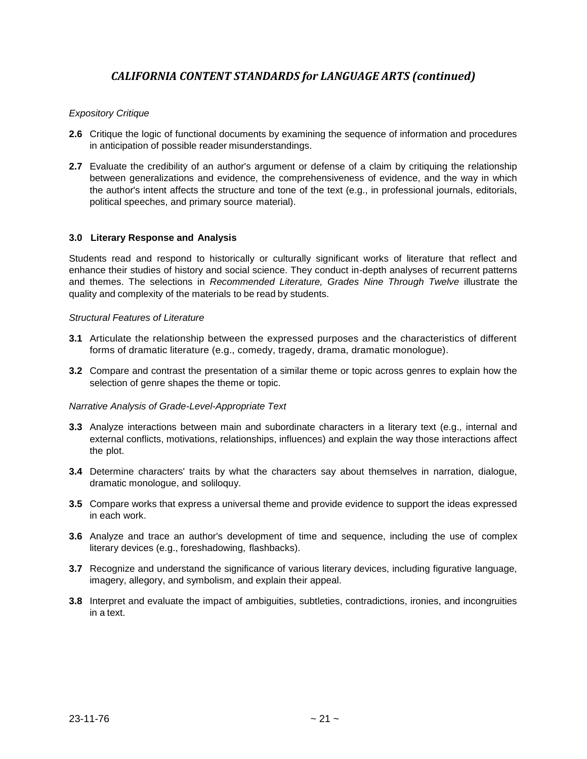#### *Expository Critique*

- **2.6** Critique the logic of functional documents by examining the sequence of information and procedures in anticipation of possible reader misunderstandings.
- **2.7** Evaluate the credibility of an author's argument or defense of a claim by critiquing the relationship between generalizations and evidence, the comprehensiveness of evidence, and the way in which the author's intent affects the structure and tone of the text (e.g., in professional journals, editorials, political speeches, and primary source material).

#### **3.0 Literary Response and Analysis**

Students read and respond to historically or culturally significant works of literature that reflect and enhance their studies of history and social science. They conduct in-depth analyses of recurrent patterns and themes. The selections in *Recommended Literature, Grades Nine Through Twelve* illustrate the quality and complexity of the materials to be read by students.

#### *Structural Features of Literature*

- **3.1** Articulate the relationship between the expressed purposes and the characteristics of different forms of dramatic literature (e.g., comedy, tragedy, drama, dramatic monologue).
- **3.2** Compare and contrast the presentation of a similar theme or topic across genres to explain how the selection of genre shapes the theme or topic.

#### *Narrative Analysis of Grade-Level-Appropriate Text*

- **3.3** Analyze interactions between main and subordinate characters in a literary text (e.g., internal and external conflicts, motivations, relationships, influences) and explain the way those interactions affect the plot.
- **3.4** Determine characters' traits by what the characters say about themselves in narration, dialogue, dramatic monologue, and soliloquy.
- **3.5** Compare works that express a universal theme and provide evidence to support the ideas expressed in each work.
- **3.6** Analyze and trace an author's development of time and sequence, including the use of complex literary devices (e.g., foreshadowing, flashbacks).
- **3.7** Recognize and understand the significance of various literary devices, including figurative language, imagery, allegory, and symbolism, and explain their appeal.
- **3.8** Interpret and evaluate the impact of ambiguities, subtleties, contradictions, ironies, and incongruities in a text.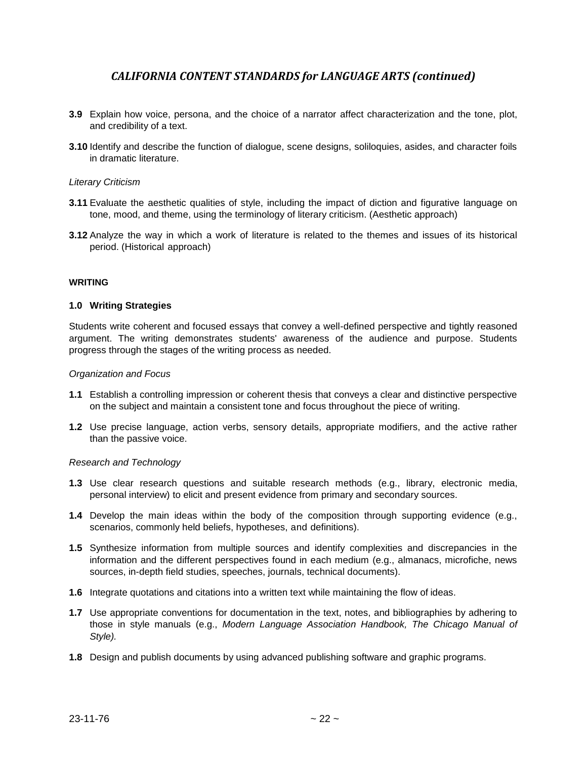- **3.9** Explain how voice, persona, and the choice of a narrator affect characterization and the tone, plot, and credibility of a text.
- **3.10** Identify and describe the function of dialogue, scene designs, soliloquies, asides, and character foils in dramatic literature.

#### *Literary Criticism*

- **3.11** Evaluate the aesthetic qualities of style, including the impact of diction and figurative language on tone, mood, and theme, using the terminology of literary criticism. (Aesthetic approach)
- **3.12** Analyze the way in which a work of literature is related to the themes and issues of its historical period. (Historical approach)

#### **WRITING**

#### **1.0 Writing Strategies**

Students write coherent and focused essays that convey a well-defined perspective and tightly reasoned argument. The writing demonstrates students' awareness of the audience and purpose. Students progress through the stages of the writing process as needed.

#### *Organization and Focus*

- **1.1** Establish a controlling impression or coherent thesis that conveys a clear and distinctive perspective on the subject and maintain a consistent tone and focus throughout the piece of writing.
- **1.2** Use precise language, action verbs, sensory details, appropriate modifiers, and the active rather than the passive voice.

#### *Research and Technology*

- **1.3** Use clear research questions and suitable research methods (e.g., library, electronic media, personal interview) to elicit and present evidence from primary and secondary sources.
- **1.4** Develop the main ideas within the body of the composition through supporting evidence (e.g., scenarios, commonly held beliefs, hypotheses, and definitions).
- **1.5** Synthesize information from multiple sources and identify complexities and discrepancies in the information and the different perspectives found in each medium (e.g., almanacs, microfiche, news sources, in-depth field studies, speeches, journals, technical documents).
- **1.6** Integrate quotations and citations into a written text while maintaining the flow of ideas.
- **1.7** Use appropriate conventions for documentation in the text, notes, and bibliographies by adhering to those in style manuals (e.g., *Modern Language Association Handbook, The Chicago Manual of Style).*
- **1.8** Design and publish documents by using advanced publishing software and graphic programs.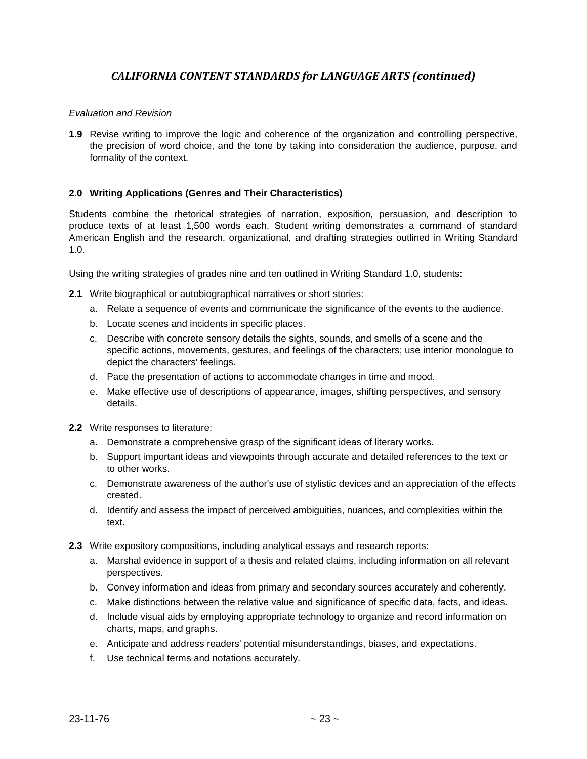#### *Evaluation and Revision*

**1.9** Revise writing to improve the logic and coherence of the organization and controlling perspective, the precision of word choice, and the tone by taking into consideration the audience, purpose, and formality of the context.

#### **2.0 Writing Applications (Genres and Their Characteristics)**

Students combine the rhetorical strategies of narration, exposition, persuasion, and description to produce texts of at least 1,500 words each. Student writing demonstrates a command of standard American English and the research, organizational, and drafting strategies outlined in Writing Standard 1.0.

Using the writing strategies of grades nine and ten outlined in Writing Standard 1.0, students:

**2.1** Write biographical or autobiographical narratives or short stories:

- a. Relate a sequence of events and communicate the significance of the events to the audience.
- b. Locate scenes and incidents in specific places.
- c. Describe with concrete sensory details the sights, sounds, and smells of a scene and the specific actions, movements, gestures, and feelings of the characters; use interior monologue to depict the characters' feelings.
- d. Pace the presentation of actions to accommodate changes in time and mood.
- e. Make effective use of descriptions of appearance, images, shifting perspectives, and sensory details.
- **2.2** Write responses to literature:
	- a. Demonstrate a comprehensive grasp of the significant ideas of literary works.
	- b. Support important ideas and viewpoints through accurate and detailed references to the text or to other works.
	- c. Demonstrate awareness of the author's use of stylistic devices and an appreciation of the effects created.
	- d. Identify and assess the impact of perceived ambiguities, nuances, and complexities within the text.
- **2.3** Write expository compositions, including analytical essays and research reports:
	- a. Marshal evidence in support of a thesis and related claims, including information on all relevant perspectives.
	- b. Convey information and ideas from primary and secondary sources accurately and coherently.
	- c. Make distinctions between the relative value and significance of specific data, facts, and ideas.
	- d. Include visual aids by employing appropriate technology to organize and record information on charts, maps, and graphs.
	- e. Anticipate and address readers' potential misunderstandings, biases, and expectations.
	- f. Use technical terms and notations accurately.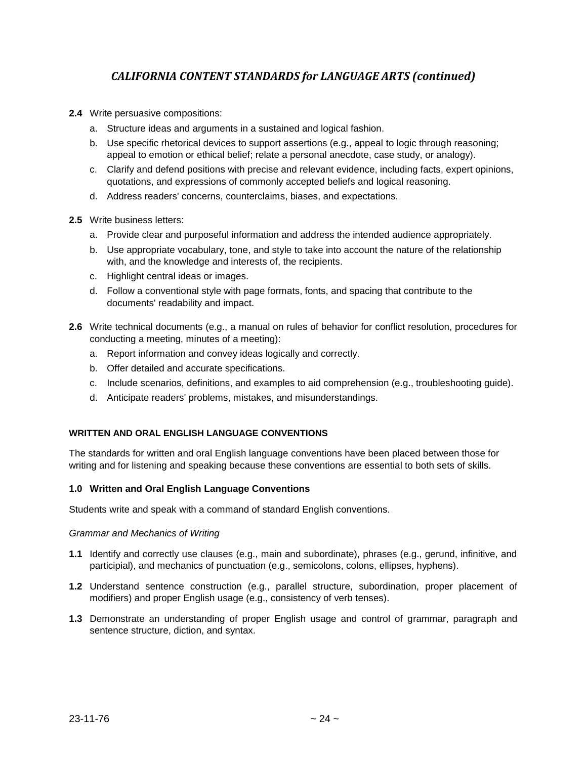- **2.4** Write persuasive compositions:
	- a. Structure ideas and arguments in a sustained and logical fashion.
	- b. Use specific rhetorical devices to support assertions (e.g., appeal to logic through reasoning; appeal to emotion or ethical belief; relate a personal anecdote, case study, or analogy).
	- c. Clarify and defend positions with precise and relevant evidence, including facts, expert opinions, quotations, and expressions of commonly accepted beliefs and logical reasoning.
	- d. Address readers' concerns, counterclaims, biases, and expectations.
- **2.5** Write business letters:
	- a. Provide clear and purposeful information and address the intended audience appropriately.
	- b. Use appropriate vocabulary, tone, and style to take into account the nature of the relationship with, and the knowledge and interests of, the recipients.
	- c. Highlight central ideas or images.
	- d. Follow a conventional style with page formats, fonts, and spacing that contribute to the documents' readability and impact.
- **2.6** Write technical documents (e.g., a manual on rules of behavior for conflict resolution, procedures for conducting a meeting, minutes of a meeting):
	- a. Report information and convey ideas logically and correctly.
	- b. Offer detailed and accurate specifications.
	- c. Include scenarios, definitions, and examples to aid comprehension (e.g., troubleshooting guide).
	- d. Anticipate readers' problems, mistakes, and misunderstandings.

#### **WRITTEN AND ORAL ENGLISH LANGUAGE CONVENTIONS**

The standards for written and oral English language conventions have been placed between those for writing and for listening and speaking because these conventions are essential to both sets of skills.

#### **1.0 Written and Oral English Language Conventions**

Students write and speak with a command of standard English conventions.

#### *Grammar and Mechanics of Writing*

- **1.1** Identify and correctly use clauses (e.g., main and subordinate), phrases (e.g., gerund, infinitive, and participial), and mechanics of punctuation (e.g., semicolons, colons, ellipses, hyphens).
- **1.2** Understand sentence construction (e.g., parallel structure, subordination, proper placement of modifiers) and proper English usage (e.g., consistency of verb tenses).
- **1.3** Demonstrate an understanding of proper English usage and control of grammar, paragraph and sentence structure, diction, and syntax.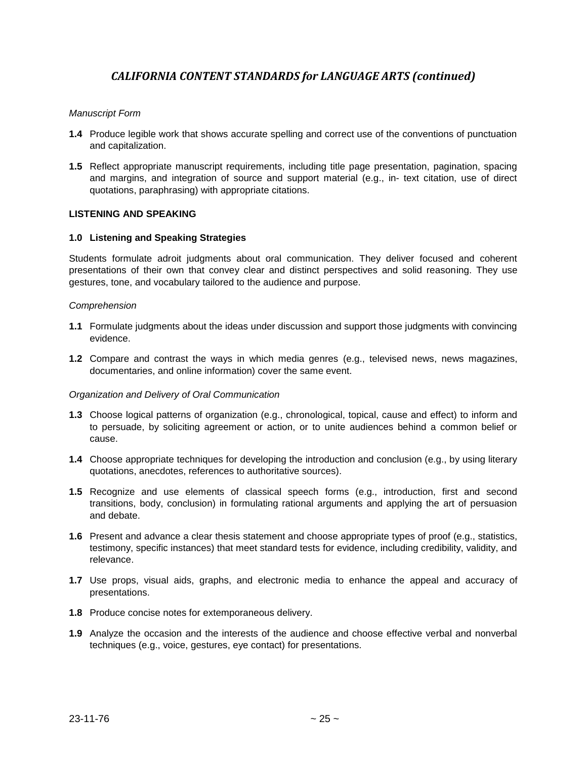#### *Manuscript Form*

- **1.4** Produce legible work that shows accurate spelling and correct use of the conventions of punctuation and capitalization.
- **1.5** Reflect appropriate manuscript requirements, including title page presentation, pagination, spacing and margins, and integration of source and support material (e.g., in- text citation, use of direct quotations, paraphrasing) with appropriate citations.

#### **LISTENING AND SPEAKING**

#### **1.0 Listening and Speaking Strategies**

Students formulate adroit judgments about oral communication. They deliver focused and coherent presentations of their own that convey clear and distinct perspectives and solid reasoning. They use gestures, tone, and vocabulary tailored to the audience and purpose.

#### *Comprehension*

- **1.1** Formulate judgments about the ideas under discussion and support those judgments with convincing evidence.
- **1.2** Compare and contrast the ways in which media genres (e.g., televised news, news magazines, documentaries, and online information) cover the same event.

#### *Organization and Delivery of Oral Communication*

- **1.3** Choose logical patterns of organization (e.g., chronological, topical, cause and effect) to inform and to persuade, by soliciting agreement or action, or to unite audiences behind a common belief or cause.
- **1.4** Choose appropriate techniques for developing the introduction and conclusion (e.g., by using literary quotations, anecdotes, references to authoritative sources).
- **1.5** Recognize and use elements of classical speech forms (e.g., introduction, first and second transitions, body, conclusion) in formulating rational arguments and applying the art of persuasion and debate.
- **1.6** Present and advance a clear thesis statement and choose appropriate types of proof (e.g., statistics, testimony, specific instances) that meet standard tests for evidence, including credibility, validity, and relevance.
- **1.7** Use props, visual aids, graphs, and electronic media to enhance the appeal and accuracy of presentations.
- **1.8** Produce concise notes for extemporaneous delivery.
- **1.9** Analyze the occasion and the interests of the audience and choose effective verbal and nonverbal techniques (e.g., voice, gestures, eye contact) for presentations.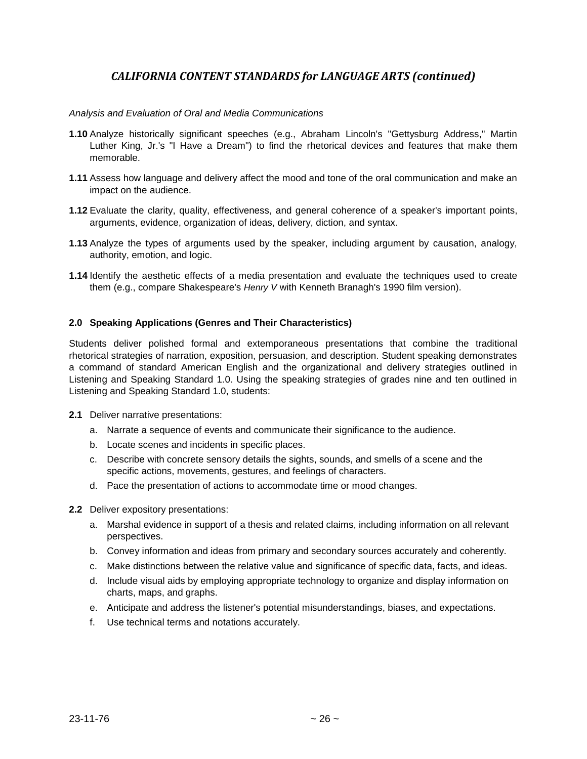#### *Analysis and Evaluation of Oral and Media Communications*

- **1.10** Analyze historically significant speeches (e.g., Abraham Lincoln's "Gettysburg Address," Martin Luther King, Jr.'s "I Have a Dream") to find the rhetorical devices and features that make them memorable.
- **1.11** Assess how language and delivery affect the mood and tone of the oral communication and make an impact on the audience.
- **1.12** Evaluate the clarity, quality, effectiveness, and general coherence of a speaker's important points, arguments, evidence, organization of ideas, delivery, diction, and syntax.
- **1.13** Analyze the types of arguments used by the speaker, including argument by causation, analogy, authority, emotion, and logic.
- **1.14** Identify the aesthetic effects of a media presentation and evaluate the techniques used to create them (e.g., compare Shakespeare's *Henry V* with Kenneth Branagh's 1990 film version).

#### **2.0 Speaking Applications (Genres and Their Characteristics)**

Students deliver polished formal and extemporaneous presentations that combine the traditional rhetorical strategies of narration, exposition, persuasion, and description. Student speaking demonstrates a command of standard American English and the organizational and delivery strategies outlined in Listening and Speaking Standard 1.0. Using the speaking strategies of grades nine and ten outlined in Listening and Speaking Standard 1.0, students:

- **2.1** Deliver narrative presentations:
	- a. Narrate a sequence of events and communicate their significance to the audience.
	- b. Locate scenes and incidents in specific places.
	- c. Describe with concrete sensory details the sights, sounds, and smells of a scene and the specific actions, movements, gestures, and feelings of characters.
	- d. Pace the presentation of actions to accommodate time or mood changes.
- **2.2** Deliver expository presentations:
	- a. Marshal evidence in support of a thesis and related claims, including information on all relevant perspectives.
	- b. Convey information and ideas from primary and secondary sources accurately and coherently.
	- c. Make distinctions between the relative value and significance of specific data, facts, and ideas.
	- d. Include visual aids by employing appropriate technology to organize and display information on charts, maps, and graphs.
	- e. Anticipate and address the listener's potential misunderstandings, biases, and expectations.
	- f. Use technical terms and notations accurately.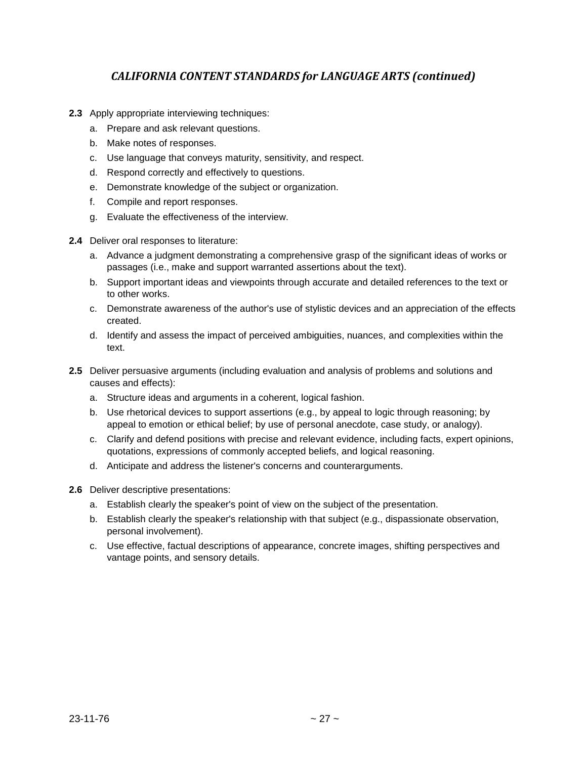- **2.3** Apply appropriate interviewing techniques:
	- a. Prepare and ask relevant questions.
	- b. Make notes of responses.
	- c. Use language that conveys maturity, sensitivity, and respect.
	- d. Respond correctly and effectively to questions.
	- e. Demonstrate knowledge of the subject or organization.
	- f. Compile and report responses.
	- g. Evaluate the effectiveness of the interview.
- **2.4** Deliver oral responses to literature:
	- a. Advance a judgment demonstrating a comprehensive grasp of the significant ideas of works or passages (i.e., make and support warranted assertions about the text).
	- b. Support important ideas and viewpoints through accurate and detailed references to the text or to other works.
	- c. Demonstrate awareness of the author's use of stylistic devices and an appreciation of the effects created.
	- d. Identify and assess the impact of perceived ambiguities, nuances, and complexities within the text.
- **2.5** Deliver persuasive arguments (including evaluation and analysis of problems and solutions and causes and effects):
	- a. Structure ideas and arguments in a coherent, logical fashion.
	- b. Use rhetorical devices to support assertions (e.g., by appeal to logic through reasoning; by appeal to emotion or ethical belief; by use of personal anecdote, case study, or analogy).
	- c. Clarify and defend positions with precise and relevant evidence, including facts, expert opinions, quotations, expressions of commonly accepted beliefs, and logical reasoning.
	- d. Anticipate and address the listener's concerns and counterarguments.
- **2.6** Deliver descriptive presentations:
	- a. Establish clearly the speaker's point of view on the subject of the presentation.
	- b. Establish clearly the speaker's relationship with that subject (e.g., dispassionate observation, personal involvement).
	- c. Use effective, factual descriptions of appearance, concrete images, shifting perspectives and vantage points, and sensory details.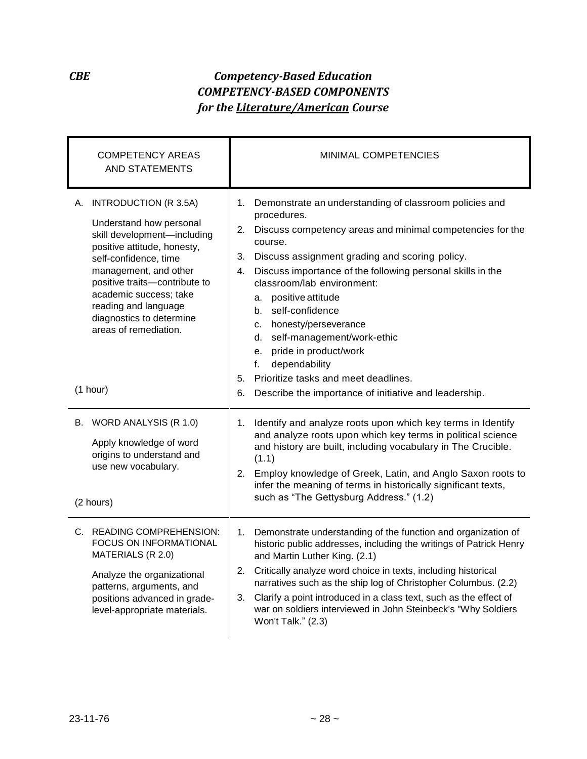# *CBE Competency-Based Education COMPETENCY-BASED COMPONENTS for the Literature/American Course*

| <b>COMPETENCY AREAS</b><br><b>AND STATEMENTS</b>                                                                                                                                                                                                                                                                        | <b>MINIMAL COMPETENCIES</b>                                                                                                                                                                                                                                                                                                                                                                                                                                                                                                    |
|-------------------------------------------------------------------------------------------------------------------------------------------------------------------------------------------------------------------------------------------------------------------------------------------------------------------------|--------------------------------------------------------------------------------------------------------------------------------------------------------------------------------------------------------------------------------------------------------------------------------------------------------------------------------------------------------------------------------------------------------------------------------------------------------------------------------------------------------------------------------|
| A. INTRODUCTION (R 3.5A)<br>Understand how personal<br>skill development-including<br>positive attitude, honesty,<br>self-confidence, time<br>management, and other<br>positive traits-contribute to<br>academic success; take<br>reading and language<br>diagnostics to determine<br>areas of remediation.<br>(1 hour) | Demonstrate an understanding of classroom policies and<br>1.<br>procedures.<br>Discuss competency areas and minimal competencies for the<br>2.<br>course.<br>Discuss assignment grading and scoring policy.<br>3.<br>Discuss importance of the following personal skills in the<br>4.<br>classroom/lab environment:<br>a. positive attitude<br>b. self-confidence<br>c. honesty/perseverance<br>d. self-management/work-ethic<br>e. pride in product/work<br>dependability<br>f.<br>Prioritize tasks and meet deadlines.<br>5. |
|                                                                                                                                                                                                                                                                                                                         | Describe the importance of initiative and leadership.<br>6.                                                                                                                                                                                                                                                                                                                                                                                                                                                                    |
| B. WORD ANALYSIS (R 1.0)<br>Apply knowledge of word<br>origins to understand and<br>use new vocabulary.                                                                                                                                                                                                                 | Identify and analyze roots upon which key terms in Identify<br>1.<br>and analyze roots upon which key terms in political science<br>and history are built, including vocabulary in The Crucible.<br>(1.1)<br>Employ knowledge of Greek, Latin, and Anglo Saxon roots to<br>2.<br>infer the meaning of terms in historically significant texts,<br>such as "The Gettysburg Address." (1.2)                                                                                                                                      |
| (2 hours)                                                                                                                                                                                                                                                                                                               |                                                                                                                                                                                                                                                                                                                                                                                                                                                                                                                                |
| C. READING COMPREHENSION:<br>FOCUS ON INFORMATIONAL<br>MATERIALS (R 2.0)<br>Analyze the organizational<br>patterns, arguments, and<br>positions advanced in grade-<br>level-appropriate materials.                                                                                                                      | Demonstrate understanding of the function and organization of<br>1.<br>historic public addresses, including the writings of Patrick Henry<br>and Martin Luther King. (2.1)<br>Critically analyze word choice in texts, including historical<br>2.<br>narratives such as the ship log of Christopher Columbus. (2.2)<br>Clarify a point introduced in a class text, such as the effect of<br>3.<br>war on soldiers interviewed in John Steinbeck's "Why Soldiers<br>Won't Talk." (2.3)                                          |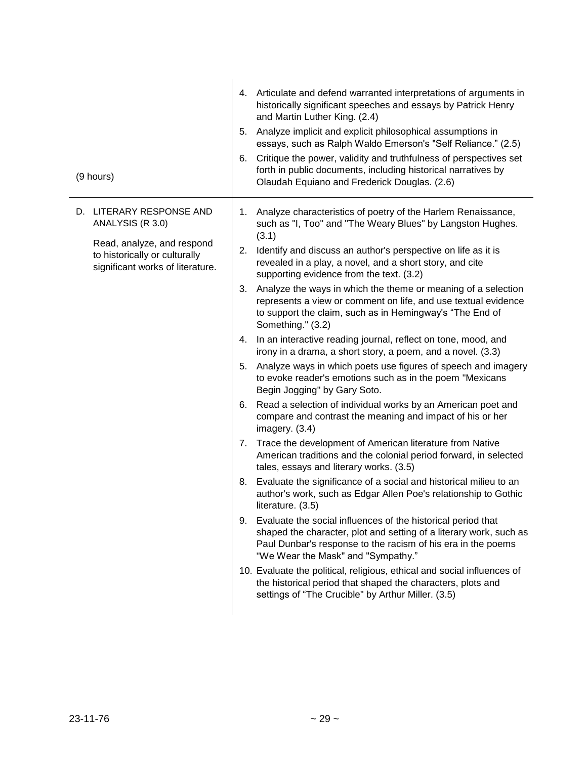| (9 hours)                                                                                                                                       | 4. Articulate and defend warranted interpretations of arguments in<br>historically significant speeches and essays by Patrick Henry<br>and Martin Luther King. (2.4)<br>Analyze implicit and explicit philosophical assumptions in<br>5.<br>essays, such as Ralph Waldo Emerson's "Self Reliance." (2.5)<br>Critique the power, validity and truthfulness of perspectives set<br>6.<br>forth in public documents, including historical narratives by<br>Olaudah Equiano and Frederick Douglas. (2.6)                                                                                                                                                                                                                                                                                                                                                                                                                                                                                                                                                                                                                                                                                                                                                                                                                                                                                                                                                                                                                                                                                                                                                                                                                                                                                                                   |
|-------------------------------------------------------------------------------------------------------------------------------------------------|------------------------------------------------------------------------------------------------------------------------------------------------------------------------------------------------------------------------------------------------------------------------------------------------------------------------------------------------------------------------------------------------------------------------------------------------------------------------------------------------------------------------------------------------------------------------------------------------------------------------------------------------------------------------------------------------------------------------------------------------------------------------------------------------------------------------------------------------------------------------------------------------------------------------------------------------------------------------------------------------------------------------------------------------------------------------------------------------------------------------------------------------------------------------------------------------------------------------------------------------------------------------------------------------------------------------------------------------------------------------------------------------------------------------------------------------------------------------------------------------------------------------------------------------------------------------------------------------------------------------------------------------------------------------------------------------------------------------------------------------------------------------------------------------------------------------|
| D. LITERARY RESPONSE AND<br>ANALYSIS (R 3.0)<br>Read, analyze, and respond<br>to historically or culturally<br>significant works of literature. | Analyze characteristics of poetry of the Harlem Renaissance,<br>1.<br>such as "I, Too" and "The Weary Blues" by Langston Hughes.<br>(3.1)<br>Identify and discuss an author's perspective on life as it is<br>2.<br>revealed in a play, a novel, and a short story, and cite<br>supporting evidence from the text. (3.2)<br>Analyze the ways in which the theme or meaning of a selection<br>3.<br>represents a view or comment on life, and use textual evidence<br>to support the claim, such as in Hemingway's "The End of<br>Something." (3.2)<br>In an interactive reading journal, reflect on tone, mood, and<br>4.<br>irony in a drama, a short story, a poem, and a novel. (3.3)<br>Analyze ways in which poets use figures of speech and imagery<br>5.<br>to evoke reader's emotions such as in the poem "Mexicans<br>Begin Jogging" by Gary Soto.<br>Read a selection of individual works by an American poet and<br>6.<br>compare and contrast the meaning and impact of his or her<br>imagery. (3.4)<br>Trace the development of American literature from Native<br>7.<br>American traditions and the colonial period forward, in selected<br>tales, essays and literary works. (3.5)<br>Evaluate the significance of a social and historical milieu to an<br>8.<br>author's work, such as Edgar Allen Poe's relationship to Gothic<br>literature. (3.5)<br>Evaluate the social influences of the historical period that<br>9.<br>shaped the character, plot and setting of a literary work, such as<br>Paul Dunbar's response to the racism of his era in the poems<br>"We Wear the Mask" and "Sympathy."<br>10. Evaluate the political, religious, ethical and social influences of<br>the historical period that shaped the characters, plots and<br>settings of "The Crucible" by Arthur Miller. (3.5) |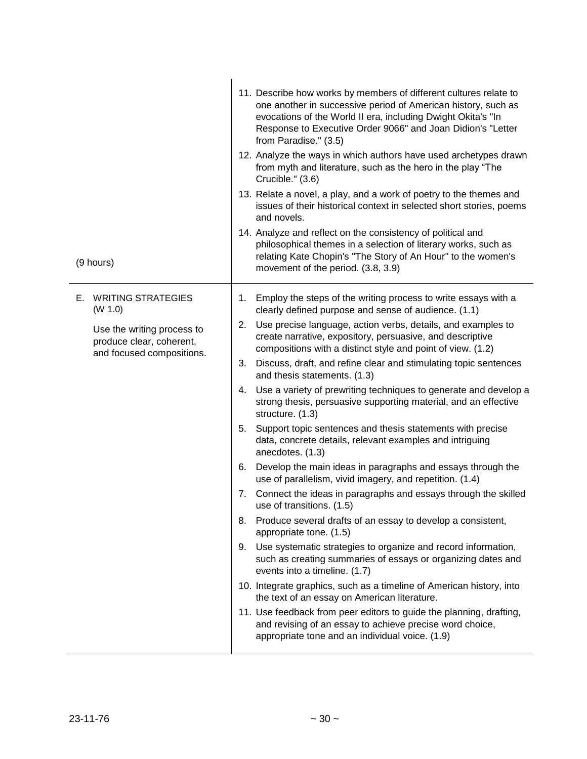| and novels.<br>14. Analyze and reflect on the consistency of political and<br>(9 hours)<br>movement of the period. (3.8, 3.9)                                                                                                                                                                                                                                                                                                                                                                                                                                                                                                                                                                                                                                                                                       | 11. Describe how works by members of different cultures relate to<br>one another in successive period of American history, such as<br>evocations of the World II era, including Dwight Okita's "In<br>Response to Executive Order 9066" and Joan Didion's "Letter<br>from Paradise." (3.5)<br>12. Analyze the ways in which authors have used archetypes drawn<br>from myth and literature, such as the hero in the play "The<br>Crucible." (3.6)<br>13. Relate a novel, a play, and a work of poetry to the themes and<br>issues of their historical context in selected short stories, poems<br>philosophical themes in a selection of literary works, such as<br>relating Kate Chopin's "The Story of An Hour" to the women's                                                                                                                                                           |  |
|---------------------------------------------------------------------------------------------------------------------------------------------------------------------------------------------------------------------------------------------------------------------------------------------------------------------------------------------------------------------------------------------------------------------------------------------------------------------------------------------------------------------------------------------------------------------------------------------------------------------------------------------------------------------------------------------------------------------------------------------------------------------------------------------------------------------|--------------------------------------------------------------------------------------------------------------------------------------------------------------------------------------------------------------------------------------------------------------------------------------------------------------------------------------------------------------------------------------------------------------------------------------------------------------------------------------------------------------------------------------------------------------------------------------------------------------------------------------------------------------------------------------------------------------------------------------------------------------------------------------------------------------------------------------------------------------------------------------------|--|
| E. WRITING STRATEGIES<br>(W 1.0)<br>clearly defined purpose and sense of audience. (1.1)<br>2.<br>Use the writing process to<br>create narrative, expository, persuasive, and descriptive<br>produce clear, coherent,<br>compositions with a distinct style and point of view. (1.2)<br>and focused compositions.<br>3.<br>and thesis statements. (1.3)<br>4.<br>structure. (1.3)<br>5.<br>data, concrete details, relevant examples and intriguing<br>anecdotes. (1.3)<br>6.<br>use of parallelism, vivid imagery, and repetition. (1.4)<br>7.<br>use of transitions. (1.5)<br>8.<br>appropriate tone. (1.5)<br>9.<br>events into a timeline. (1.7)<br>the text of an essay on American literature.<br>and revising of an essay to achieve precise word choice,<br>appropriate tone and an individual voice. (1.9) | 1. Employ the steps of the writing process to write essays with a<br>Use precise language, action verbs, details, and examples to<br>Discuss, draft, and refine clear and stimulating topic sentences<br>Use a variety of prewriting techniques to generate and develop a<br>strong thesis, persuasive supporting material, and an effective<br>Support topic sentences and thesis statements with precise<br>Develop the main ideas in paragraphs and essays through the<br>Connect the ideas in paragraphs and essays through the skilled<br>Produce several drafts of an essay to develop a consistent,<br>Use systematic strategies to organize and record information,<br>such as creating summaries of essays or organizing dates and<br>10. Integrate graphics, such as a timeline of American history, into<br>11. Use feedback from peer editors to guide the planning, drafting, |  |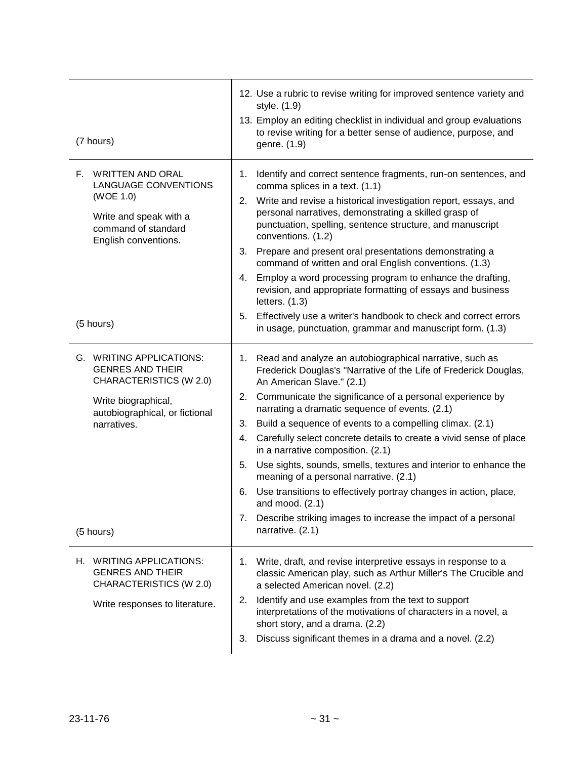| (7 hours)                                                                                                                                                           | 12. Use a rubric to revise writing for improved sentence variety and<br>style. (1.9)<br>13. Employ an editing checklist in individual and group evaluations<br>to revise writing for a better sense of audience, purpose, and<br>genre. (1.9)                                                                                                                                                                                                                                                                                                                                                                                                                                                                                                                                       |
|---------------------------------------------------------------------------------------------------------------------------------------------------------------------|-------------------------------------------------------------------------------------------------------------------------------------------------------------------------------------------------------------------------------------------------------------------------------------------------------------------------------------------------------------------------------------------------------------------------------------------------------------------------------------------------------------------------------------------------------------------------------------------------------------------------------------------------------------------------------------------------------------------------------------------------------------------------------------|
| <b>WRITTEN AND ORAL</b><br>Е.<br><b>LANGUAGE CONVENTIONS</b><br>(WOE 1.0)<br>Write and speak with a<br>command of standard<br>English conventions.                  | Identify and correct sentence fragments, run-on sentences, and<br>1.<br>comma splices in a text. (1.1)<br>Write and revise a historical investigation report, essays, and<br>2.<br>personal narratives, demonstrating a skilled grasp of<br>punctuation, spelling, sentence structure, and manuscript<br>conventions. (1.2)<br>Prepare and present oral presentations demonstrating a<br>3.<br>command of written and oral English conventions. (1.3)<br>Employ a word processing program to enhance the drafting,<br>4.<br>revision, and appropriate formatting of essays and business<br>letters. $(1.3)$                                                                                                                                                                         |
| (5 hours)                                                                                                                                                           | 5.<br>Effectively use a writer's handbook to check and correct errors<br>in usage, punctuation, grammar and manuscript form. (1.3)                                                                                                                                                                                                                                                                                                                                                                                                                                                                                                                                                                                                                                                  |
| G. WRITING APPLICATIONS:<br><b>GENRES AND THEIR</b><br>CHARACTERISTICS (W 2.0)<br>Write biographical,<br>autobiographical, or fictional<br>narratives.<br>(5 hours) | Read and analyze an autobiographical narrative, such as<br>1.<br>Frederick Douglas's "Narrative of the Life of Frederick Douglas,<br>An American Slave." (2.1)<br>Communicate the significance of a personal experience by<br>2.<br>narrating a dramatic sequence of events. (2.1)<br>Build a sequence of events to a compelling climax. (2.1)<br>3.<br>Carefully select concrete details to create a vivid sense of place<br>4.<br>in a narrative composition. (2.1)<br>Use sights, sounds, smells, textures and interior to enhance the<br>5.<br>meaning of a personal narrative. (2.1)<br>Use transitions to effectively portray changes in action, place,<br>6.<br>and mood. $(2.1)$<br>Describe striking images to increase the impact of a personal<br>7.<br>narrative. (2.1) |
| H. WRITING APPLICATIONS:<br><b>GENRES AND THEIR</b><br>CHARACTERISTICS (W 2.0)<br>Write responses to literature.                                                    | Write, draft, and revise interpretive essays in response to a<br>1.<br>classic American play, such as Arthur Miller's The Crucible and<br>a selected American novel. (2.2)<br>Identify and use examples from the text to support<br>2.<br>interpretations of the motivations of characters in a novel, a<br>short story, and a drama. (2.2)<br>Discuss significant themes in a drama and a novel. (2.2)<br>3.                                                                                                                                                                                                                                                                                                                                                                       |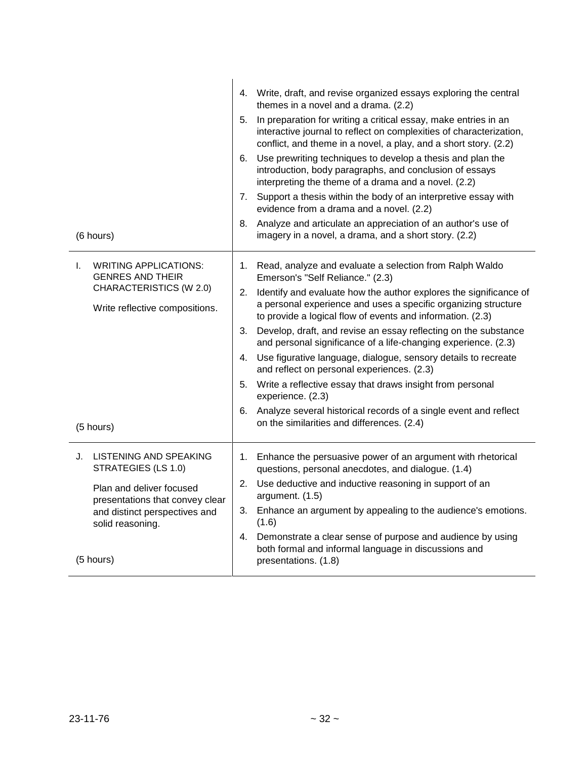| (6 hours)                                                                                                                                                                         | 4. Write, draft, and revise organized essays exploring the central<br>themes in a novel and a drama. (2.2)<br>In preparation for writing a critical essay, make entries in an<br>5.<br>interactive journal to reflect on complexities of characterization,<br>conflict, and theme in a novel, a play, and a short story. (2.2)<br>Use prewriting techniques to develop a thesis and plan the<br>6.<br>introduction, body paragraphs, and conclusion of essays<br>interpreting the theme of a drama and a novel. (2.2)<br>7. Support a thesis within the body of an interpretive essay with<br>evidence from a drama and a novel. (2.2)<br>8. Analyze and articulate an appreciation of an author's use of<br>imagery in a novel, a drama, and a short story. (2.2)                |
|-----------------------------------------------------------------------------------------------------------------------------------------------------------------------------------|-----------------------------------------------------------------------------------------------------------------------------------------------------------------------------------------------------------------------------------------------------------------------------------------------------------------------------------------------------------------------------------------------------------------------------------------------------------------------------------------------------------------------------------------------------------------------------------------------------------------------------------------------------------------------------------------------------------------------------------------------------------------------------------|
| <b>WRITING APPLICATIONS:</b><br>L.<br><b>GENRES AND THEIR</b><br><b>CHARACTERISTICS (W 2.0)</b><br>Write reflective compositions.<br>(5 hours)                                    | 1. Read, analyze and evaluate a selection from Ralph Waldo<br>Emerson's "Self Reliance." (2.3)<br>Identify and evaluate how the author explores the significance of<br>2.<br>a personal experience and uses a specific organizing structure<br>to provide a logical flow of events and information. (2.3)<br>3.<br>Develop, draft, and revise an essay reflecting on the substance<br>and personal significance of a life-changing experience. (2.3)<br>4. Use figurative language, dialogue, sensory details to recreate<br>and reflect on personal experiences. (2.3)<br>5. Write a reflective essay that draws insight from personal<br>experience. (2.3)<br>6. Analyze several historical records of a single event and reflect<br>on the similarities and differences. (2.4) |
| J. LISTENING AND SPEAKING<br>STRATEGIES (LS 1.0)<br>Plan and deliver focused<br>presentations that convey clear<br>and distinct perspectives and<br>solid reasoning.<br>(5 hours) | Enhance the persuasive power of an argument with rhetorical<br>1.<br>questions, personal anecdotes, and dialogue. (1.4)<br>Use deductive and inductive reasoning in support of an<br>2.<br>argument. (1.5)<br>3. Enhance an argument by appealing to the audience's emotions.<br>(1.6)<br>Demonstrate a clear sense of purpose and audience by using<br>4.<br>both formal and informal language in discussions and<br>presentations. (1.8)                                                                                                                                                                                                                                                                                                                                        |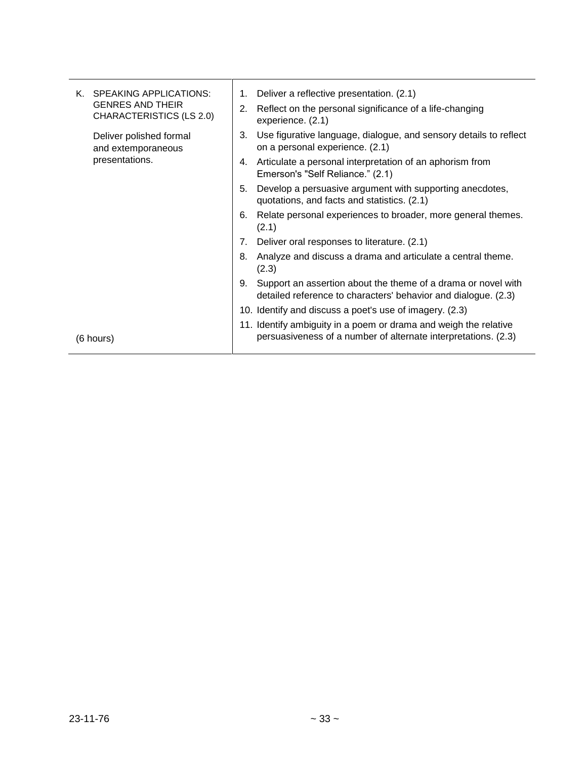| <b>GENRES AND THEIR</b>                                         | K. SPEAKING APPLICATIONS:<br>1.<br>2.<br><b>CHARACTERISTICS (LS 2.0)</b> | Deliver a reflective presentation. (2.1)<br>Reflect on the personal significance of a life-changing<br>experience. (2.1)           |
|-----------------------------------------------------------------|--------------------------------------------------------------------------|------------------------------------------------------------------------------------------------------------------------------------|
| Deliver polished formal<br>and extemporaneous<br>presentations. | 3.                                                                       | Use figurative language, dialogue, and sensory details to reflect<br>on a personal experience. (2.1)                               |
|                                                                 | 4.                                                                       | Articulate a personal interpretation of an aphorism from<br>Emerson's "Self Reliance." (2.1)                                       |
|                                                                 | 5.                                                                       | Develop a persuasive argument with supporting anecdotes,<br>quotations, and facts and statistics. (2.1)                            |
|                                                                 | 6.                                                                       | Relate personal experiences to broader, more general themes.<br>(2.1)                                                              |
|                                                                 | 7.                                                                       | Deliver oral responses to literature. (2.1)                                                                                        |
|                                                                 | 8.                                                                       | Analyze and discuss a drama and articulate a central theme.<br>(2.3)                                                               |
|                                                                 | 9.                                                                       | Support an assertion about the theme of a drama or novel with<br>detailed reference to characters' behavior and dialogue. (2.3)    |
|                                                                 |                                                                          | 10. Identify and discuss a poet's use of imagery. (2.3)                                                                            |
| (6 hours)                                                       |                                                                          | 11. Identify ambiguity in a poem or drama and weigh the relative<br>persuasiveness of a number of alternate interpretations. (2.3) |
|                                                                 |                                                                          |                                                                                                                                    |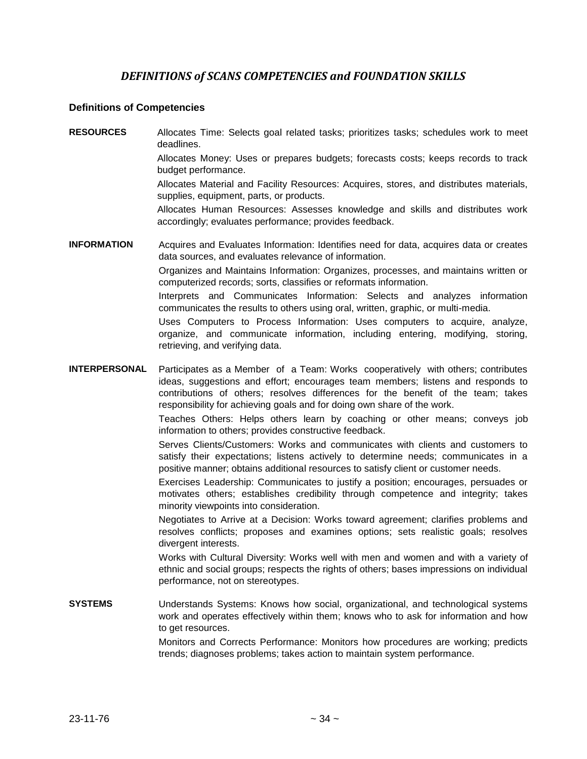## *DEFINITIONS of SCANS COMPETENCIES and FOUNDATION SKILLS*

#### **Definitions of Competencies**

**RESOURCES** Allocates Time: Selects goal related tasks; prioritizes tasks; schedules work to meet deadlines.

> Allocates Money: Uses or prepares budgets; forecasts costs; keeps records to track budget performance.

> Allocates Material and Facility Resources: Acquires, stores, and distributes materials, supplies, equipment, parts, or products.

> Allocates Human Resources: Assesses knowledge and skills and distributes work accordingly; evaluates performance; provides feedback.

**INFORMATION** Acquires and Evaluates Information: Identifies need for data, acquires data or creates data sources, and evaluates relevance of information.

> Organizes and Maintains Information: Organizes, processes, and maintains written or computerized records; sorts, classifies or reformats information.

> Interprets and Communicates Information: Selects and analyzes information communicates the results to others using oral, written, graphic, or multi-media.

> Uses Computers to Process Information: Uses computers to acquire, analyze, organize, and communicate information, including entering, modifying, storing, retrieving, and verifying data.

**INTERPERSONAL** Participates as a Member of a Team: Works cooperatively with others; contributes ideas, suggestions and effort; encourages team members; listens and responds to contributions of others; resolves differences for the benefit of the team; takes responsibility for achieving goals and for doing own share of the work.

> Teaches Others: Helps others learn by coaching or other means; conveys job information to others; provides constructive feedback.

> Serves Clients/Customers: Works and communicates with clients and customers to satisfy their expectations; listens actively to determine needs; communicates in a positive manner; obtains additional resources to satisfy client or customer needs.

> Exercises Leadership: Communicates to justify a position; encourages, persuades or motivates others; establishes credibility through competence and integrity; takes minority viewpoints into consideration.

> Negotiates to Arrive at a Decision: Works toward agreement; clarifies problems and resolves conflicts; proposes and examines options; sets realistic goals; resolves divergent interests.

> Works with Cultural Diversity: Works well with men and women and with a variety of ethnic and social groups; respects the rights of others; bases impressions on individual performance, not on stereotypes.

**SYSTEMS** Understands Systems: Knows how social, organizational, and technological systems work and operates effectively within them; knows who to ask for information and how to get resources.

> Monitors and Corrects Performance: Monitors how procedures are working; predicts trends; diagnoses problems; takes action to maintain system performance.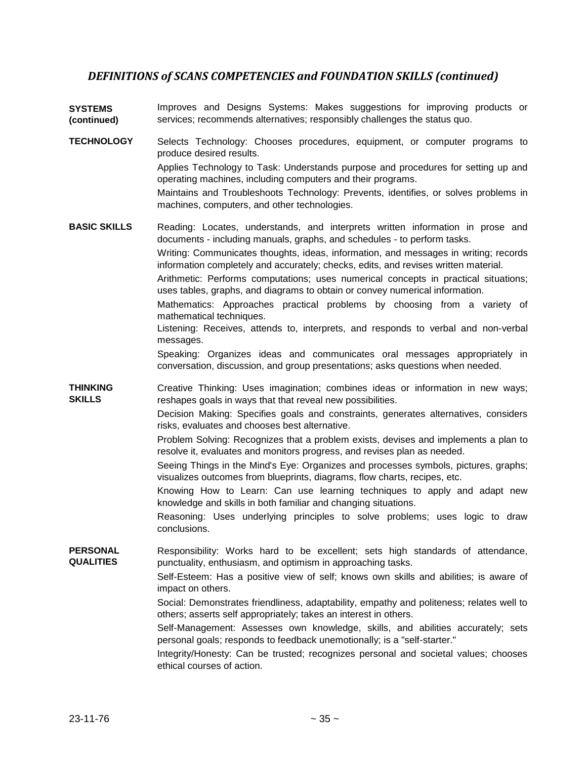## *DEFINITIONS of SCANS COMPETENCIES and FOUNDATION SKILLS (continued)*

**SYSTEMS (continued)** Improves and Designs Systems: Makes suggestions for improving products or services; recommends alternatives; responsibly challenges the status quo.

**TECHNOLOGY** Selects Technology: Chooses procedures, equipment, or computer programs to produce desired results. Applies Technology to Task: Understands purpose and procedures for setting up and operating machines, including computers and their programs. Maintains and Troubleshoots Technology: Prevents, identifies, or solves problems in machines, computers, and other technologies.

**BASIC SKILLS** Reading: Locates, understands, and interprets written information in prose and documents - including manuals, graphs, and schedules - to perform tasks. Writing: Communicates thoughts, ideas, information, and messages in writing; records information completely and accurately; checks, edits, and revises written material. Arithmetic: Performs computations; uses numerical concepts in practical situations; uses tables, graphs, and diagrams to obtain or convey numerical information. Mathematics: Approaches practical problems by choosing from a variety of mathematical techniques. Listening: Receives, attends to, interprets, and responds to verbal and non-verbal

messages.

Speaking: Organizes ideas and communicates oral messages appropriately in conversation, discussion, and group presentations; asks questions when needed.

**THINKING SKILLS** Creative Thinking: Uses imagination; combines ideas or information in new ways; reshapes goals in ways that that reveal new possibilities.

> Decision Making: Specifies goals and constraints, generates alternatives, considers risks, evaluates and chooses best alternative.

> Problem Solving: Recognizes that a problem exists, devises and implements a plan to resolve it, evaluates and monitors progress, and revises plan as needed.

> Seeing Things in the Mind's Eye: Organizes and processes symbols, pictures, graphs; visualizes outcomes from blueprints, diagrams, flow charts, recipes, etc.

> Knowing How to Learn: Can use learning techniques to apply and adapt new knowledge and skills in both familiar and changing situations.

> Reasoning: Uses underlying principles to solve problems; uses logic to draw conclusions.

**PERSONAL QUALITIES** Responsibility: Works hard to be excellent; sets high standards of attendance, punctuality, enthusiasm, and optimism in approaching tasks.

> Self-Esteem: Has a positive view of self; knows own skills and abilities; is aware of impact on others.

> Social: Demonstrates friendliness, adaptability, empathy and politeness; relates well to others; asserts self appropriately; takes an interest in others.

> Self-Management: Assesses own knowledge, skills, and abilities accurately; sets personal goals; responds to feedback unemotionally; is a "self-starter."

> Integrity/Honesty: Can be trusted; recognizes personal and societal values; chooses ethical courses of action.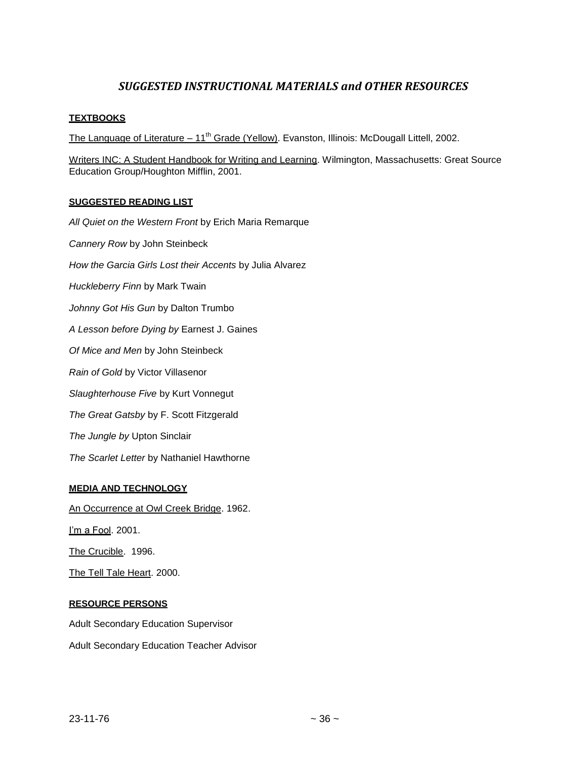## *SUGGESTED INSTRUCTIONAL MATERIALS and OTHER RESOURCES*

#### **TEXTBOOKS**

The Language of Literature –  $11<sup>th</sup>$  Grade (Yellow). Evanston, Illinois: McDougall Littell, 2002.

Writers INC: A Student Handbook for Writing and Learning. Wilmington, Massachusetts: Great Source Education Group/Houghton Mifflin, 2001.

#### **SUGGESTED READING LIST**

*All Quiet on the Western Front* by Erich Maria Remarque *Cannery Row* by John Steinbeck *How the Garcia Girls Lost their Accents* by Julia Alvarez *Huckleberry Finn* by Mark Twain *Johnny Got His Gun* by Dalton Trumbo *A Lesson before Dying by* Earnest J. Gaines *Of Mice and Men* by John Steinbeck *Rain of Gold* by Victor Villasenor *Slaughterhouse Five* by Kurt Vonnegut *The Great Gatsby* by F. Scott Fitzgerald *The Jungle by* Upton Sinclair *The Scarlet Letter* by Nathaniel Hawthorne

#### **MEDIA AND TECHNOLOGY**

An Occurrence at Owl Creek Bridge. 1962. I'm a Fool. 2001.

The Crucible. 1996.

The Tell Tale Heart. 2000.

#### **RESOURCE PERSONS**

Adult Secondary Education Supervisor Adult Secondary Education Teacher Advisor